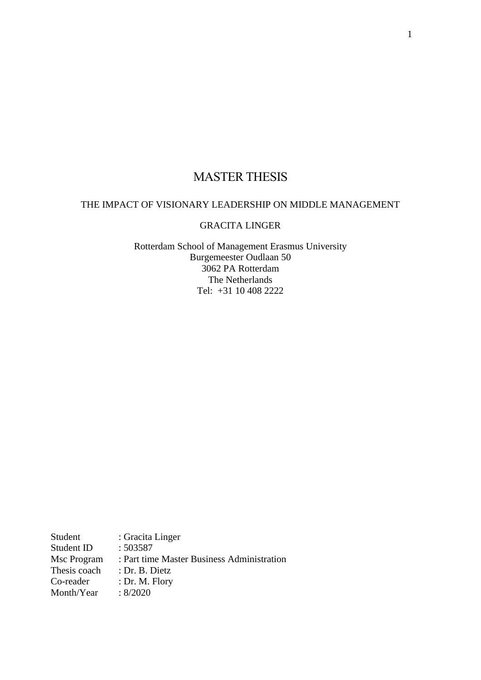# MASTER THESIS

# THE IMPACT OF VISIONARY LEADERSHIP ON MIDDLE MANAGEMENT

### GRACITA LINGER

Rotterdam School of Management Erasmus University Burgemeester Oudlaan 50 3062 PA Rotterdam The Netherlands Tel: [+31 10 408 2222](tel:+31104082222)

Student : Gracita Linger Student ID : 503587 Msc Program : Part time Master Business Administration Thesis coach : Dr. B. Dietz Co-reader : Dr. M. Flory Month/Year : 8/2020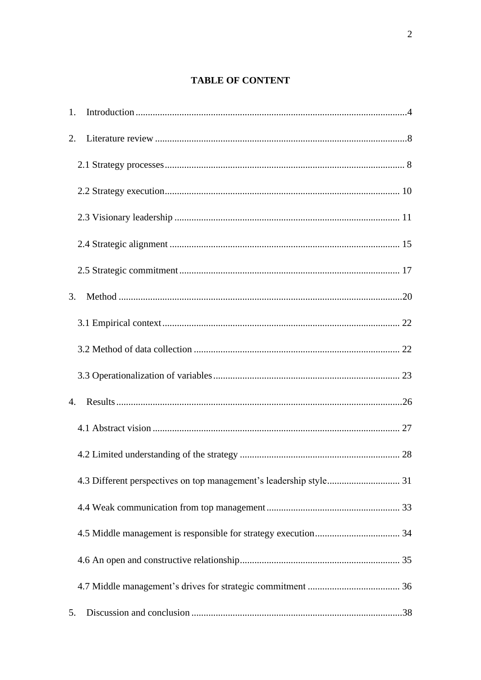# **TABLE OF CONTENT**

| 1.             |  |
|----------------|--|
| 2.             |  |
|                |  |
|                |  |
|                |  |
|                |  |
|                |  |
| 3.             |  |
|                |  |
|                |  |
|                |  |
| $\mathbf{4}$ . |  |
|                |  |
|                |  |
|                |  |
|                |  |
|                |  |
|                |  |
|                |  |
| 5.             |  |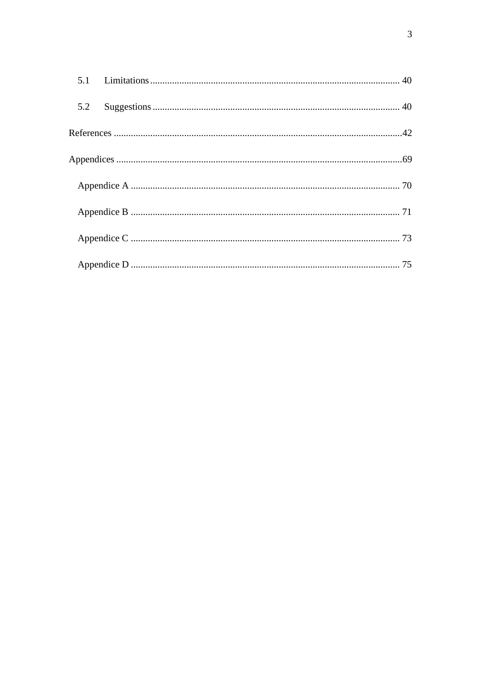| 5.2 |  |
|-----|--|
|     |  |
|     |  |
|     |  |
|     |  |
|     |  |
|     |  |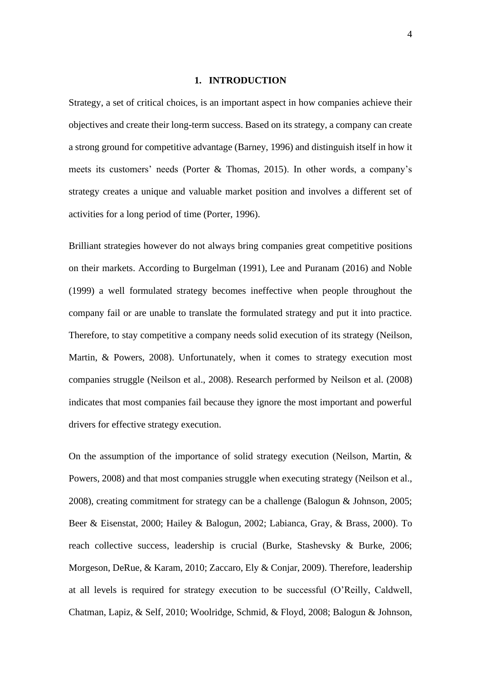#### **1. INTRODUCTION**

<span id="page-3-0"></span>Strategy, a set of critical choices, is an important aspect in how companies achieve their objectives and create their long-term success. Based on its strategy, a company can create a strong ground for competitive advantage (Barney, 1996) and distinguish itself in how it meets its customers' needs (Porter & Thomas, 2015). In other words, a company's strategy creates a unique and valuable market position and involves a different set of activities for a long period of time (Porter, 1996).

Brilliant strategies however do not always bring companies great competitive positions on their markets. According to Burgelman (1991), Lee and Puranam (2016) and Noble (1999) a well formulated strategy becomes ineffective when people throughout the company fail or are unable to translate the formulated strategy and put it into practice. Therefore, to stay competitive a company needs solid execution of its strategy (Neilson, Martin, & Powers, 2008). Unfortunately, when it comes to strategy execution most companies struggle (Neilson et al., 2008). Research performed by Neilson et al. (2008) indicates that most companies fail because they ignore the most important and powerful drivers for effective strategy execution.

On the assumption of the importance of solid strategy execution (Neilson, Martin, & Powers, 2008) and that most companies struggle when executing strategy (Neilson et al., 2008), creating commitment for strategy can be a challenge (Balogun & Johnson, 2005; Beer & Eisenstat, 2000; Hailey & Balogun, 2002; Labianca, Gray, & Brass, 2000). To reach collective success, leadership is crucial (Burke, Stashevsky & Burke, 2006; Morgeson, DeRue, & Karam, 2010; Zaccaro, Ely & Conjar, 2009). Therefore, leadership at all levels is required for strategy execution to be successful (O'Reilly, Caldwell, Chatman, Lapiz, & Self, 2010; Woolridge, Schmid, & Floyd, 2008; Balogun & Johnson,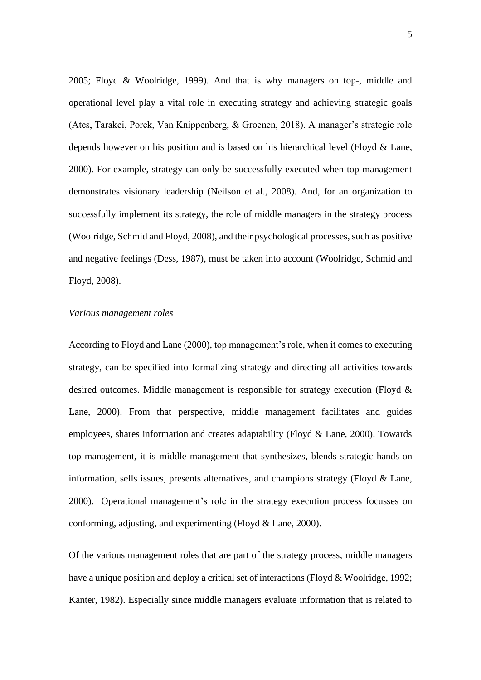2005; Floyd & Woolridge, 1999). And that is why managers on top-, middle and operational level play a vital role in executing strategy and achieving strategic goals (Ates, Tarakci, Porck, Van Knippenberg, & Groenen, 2018). A manager's strategic role depends however on his position and is based on his hierarchical level (Floyd & Lane, 2000). For example, strategy can only be successfully executed when top management demonstrates visionary leadership (Neilson et al., 2008). And, for an organization to successfully implement its strategy, the role of middle managers in the strategy process (Woolridge, Schmid and Floyd, 2008), and their psychological processes, such as positive and negative feelings (Dess, 1987), must be taken into account (Woolridge, Schmid and Floyd, 2008).

#### *Various management roles*

According to Floyd and Lane (2000), top management's role, when it comes to executing strategy, can be specified into formalizing strategy and directing all activities towards desired outcomes. Middle management is responsible for strategy execution (Floyd & Lane, 2000). From that perspective, middle management facilitates and guides employees, shares information and creates adaptability (Floyd & Lane, 2000). Towards top management, it is middle management that synthesizes, blends strategic hands-on information, sells issues, presents alternatives, and champions strategy (Floyd & Lane, 2000). Operational management's role in the strategy execution process focusses on conforming, adjusting, and experimenting (Floyd & Lane, 2000).

Of the various management roles that are part of the strategy process, middle managers have a unique position and deploy a critical set of interactions (Floyd & Woolridge, 1992; Kanter, 1982). Especially since middle managers evaluate information that is related to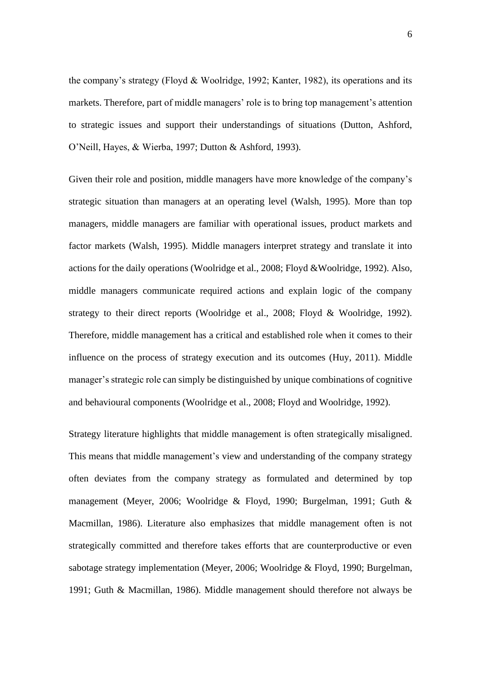the company's strategy (Floyd & Woolridge, 1992; Kanter, 1982), its operations and its markets. Therefore, part of middle managers' role is to bring top management's attention to strategic issues and support their understandings of situations (Dutton, Ashford, O'Neill, Hayes, & Wierba, 1997; Dutton & Ashford, 1993).

Given their role and position, middle managers have more knowledge of the company's strategic situation than managers at an operating level (Walsh, 1995). More than top managers, middle managers are familiar with operational issues, product markets and factor markets (Walsh, 1995). Middle managers interpret strategy and translate it into actions for the daily operations (Woolridge et al., 2008; Floyd &Woolridge, 1992). Also, middle managers communicate required actions and explain logic of the company strategy to their direct reports (Woolridge et al., 2008; Floyd & Woolridge, 1992). Therefore, middle management has a critical and established role when it comes to their influence on the process of strategy execution and its outcomes (Huy, 2011). Middle manager's strategic role can simply be distinguished by unique combinations of cognitive and behavioural components (Woolridge et al., 2008; Floyd and Woolridge, 1992).

Strategy literature highlights that middle management is often strategically misaligned. This means that middle management's view and understanding of the company strategy often deviates from the company strategy as formulated and determined by top management (Meyer, 2006; Woolridge & Floyd, 1990; Burgelman, 1991; Guth & Macmillan, 1986). Literature also emphasizes that middle management often is not strategically committed and therefore takes efforts that are counterproductive or even sabotage strategy implementation (Meyer, 2006; Woolridge & Floyd, 1990; Burgelman, 1991; Guth & Macmillan, 1986). Middle management should therefore not always be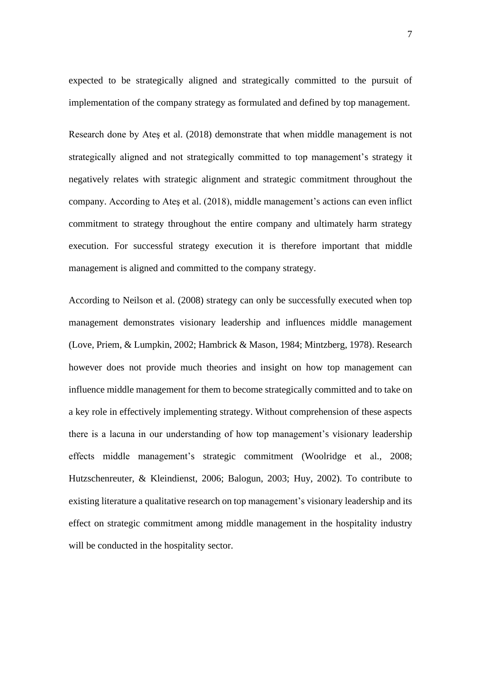expected to be strategically aligned and strategically committed to the pursuit of implementation of the company strategy as formulated and defined by top management.

Research done by Ateş et al. (2018) demonstrate that when middle management is not strategically aligned and not strategically committed to top management's strategy it negatively relates with strategic alignment and strategic commitment throughout the company. According to Ateş et al. (2018), middle management's actions can even inflict commitment to strategy throughout the entire company and ultimately harm strategy execution. For successful strategy execution it is therefore important that middle management is aligned and committed to the company strategy.

According to Neilson et al. (2008) strategy can only be successfully executed when top management demonstrates visionary leadership and influences middle management (Love, Priem, & Lumpkin, 2002; Hambrick & Mason, 1984; Mintzberg, 1978). Research however does not provide much theories and insight on how top management can influence middle management for them to become strategically committed and to take on a key role in effectively implementing strategy. Without comprehension of these aspects there is a lacuna in our understanding of how top management's visionary leadership effects middle management's strategic commitment (Woolridge et al., 2008; Hutzschenreuter, & Kleindienst, 2006; Balogun, 2003; Huy, 2002). To contribute to existing literature a qualitative research on top management's visionary leadership and its effect on strategic commitment among middle management in the hospitality industry will be conducted in the hospitality sector.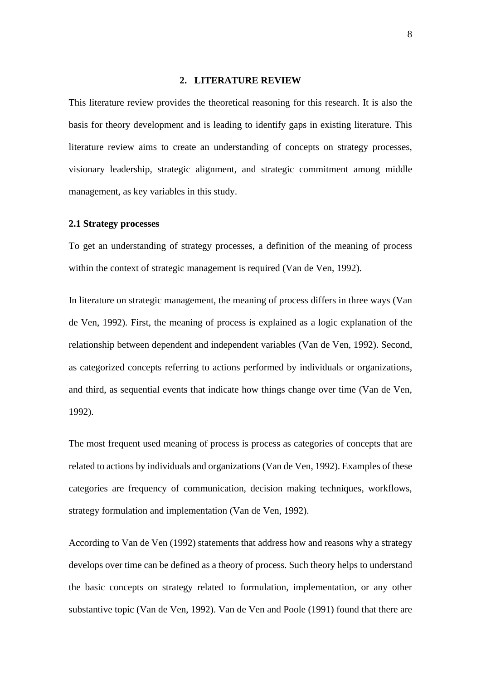### **2. LITERATURE REVIEW**

<span id="page-7-0"></span>This literature review provides the theoretical reasoning for this research. It is also the basis for theory development and is leading to identify gaps in existing literature. This literature review aims to create an understanding of concepts on strategy processes, visionary leadership, strategic alignment, and strategic commitment among middle management, as key variables in this study.

#### <span id="page-7-1"></span>**2.1 Strategy processes**

To get an understanding of strategy processes, a definition of the meaning of process within the context of strategic management is required (Van de Ven, 1992).

In literature on strategic management, the meaning of process differs in three ways (Van de Ven, 1992). First, the meaning of process is explained as a logic explanation of the relationship between dependent and independent variables (Van de Ven, 1992). Second, as categorized concepts referring to actions performed by individuals or organizations, and third, as sequential events that indicate how things change over time (Van de Ven, 1992).

The most frequent used meaning of process is process as categories of concepts that are related to actions by individuals and organizations (Van de Ven, 1992). Examples of these categories are frequency of communication, decision making techniques, workflows, strategy formulation and implementation (Van de Ven, 1992).

According to Van de Ven (1992) statements that address how and reasons why a strategy develops over time can be defined as a theory of process. Such theory helps to understand the basic concepts on strategy related to formulation, implementation, or any other substantive topic (Van de Ven, 1992). Van de Ven and Poole (1991) found that there are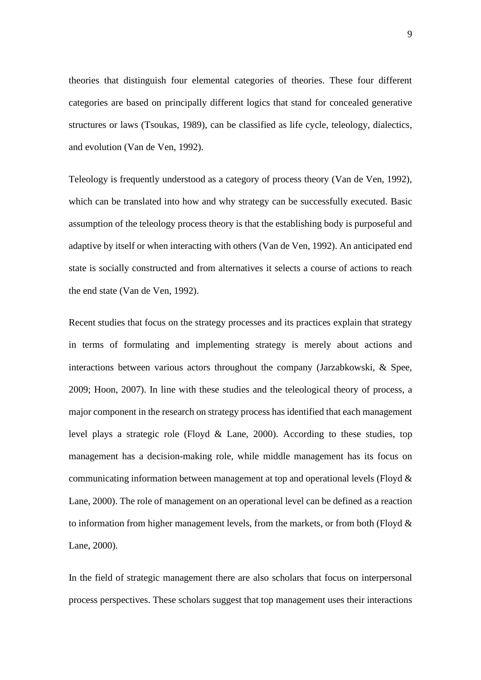theories that distinguish four elemental categories of theories. These four different categories are based on principally different logics that stand for concealed generative structures or laws (Tsoukas, 1989), can be classified as life cycle, teleology, dialectics, and evolution (Van de Ven, 1992).

Teleology is frequently understood as a category of process theory (Van de Ven, 1992), which can be translated into how and why strategy can be successfully executed. Basic assumption of the teleology process theory is that the establishing body is purposeful and adaptive by itself or when interacting with others (Van de Ven, 1992). An anticipated end state is socially constructed and from alternatives it selects a course of actions to reach the end state (Van de Ven, 1992).

Recent studies that focus on the strategy processes and its practices explain that strategy in terms of formulating and implementing strategy is merely about actions and interactions between various actors throughout the company (Jarzabkowski, & Spee, 2009; Hoon, 2007). In line with these studies and the teleological theory of process, a major component in the research on strategy process has identified that each management level plays a strategic role (Floyd & Lane, 2000). According to these studies, top management has a decision-making role, while middle management has its focus on communicating information between management at top and operational levels (Floyd & Lane, 2000). The role of management on an operational level can be defined as a reaction to information from higher management levels, from the markets, or from both (Floyd  $\&$ Lane, 2000).

In the field of strategic management there are also scholars that focus on interpersonal process perspectives. These scholars suggest that top management uses their interactions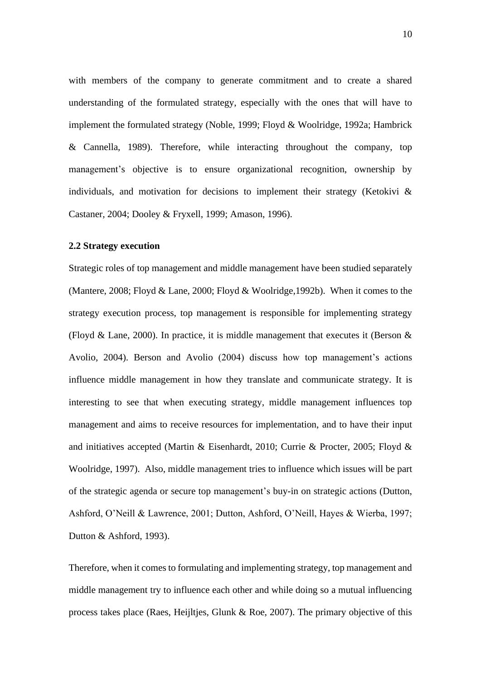with members of the company to generate commitment and to create a shared understanding of the formulated strategy, especially with the ones that will have to implement the formulated strategy (Noble, 1999; Floyd & Woolridge, 1992a; Hambrick & Cannella, 1989). Therefore, while interacting throughout the company, top management's objective is to ensure organizational recognition, ownership by individuals, and motivation for decisions to implement their strategy (Ketokivi & Castaner, 2004; Dooley & Fryxell, 1999; Amason, 1996).

### <span id="page-9-0"></span>**2.2 Strategy execution**

Strategic roles of top management and middle management have been studied separately (Mantere, 2008; Floyd & Lane, 2000; Floyd & Woolridge,1992b). When it comes to the strategy execution process, top management is responsible for implementing strategy (Floyd & Lane, 2000). In practice, it is middle management that executes it (Berson  $\&$ Avolio, 2004). Berson and Avolio (2004) discuss how top management's actions influence middle management in how they translate and communicate strategy. It is interesting to see that when executing strategy, middle management influences top management and aims to receive resources for implementation, and to have their input and initiatives accepted (Martin & Eisenhardt, 2010; Currie & Procter, 2005; Floyd & Woolridge, 1997). Also, middle management tries to influence which issues will be part of the strategic agenda or secure top management's buy-in on strategic actions (Dutton, Ashford, O'Neill & Lawrence, 2001; Dutton, Ashford, O'Neill, Hayes & Wierba, 1997; Dutton & Ashford, 1993).

Therefore, when it comes to formulating and implementing strategy, top management and middle management try to influence each other and while doing so a mutual influencing process takes place (Raes, Heijltjes, Glunk & Roe, 2007). The primary objective of this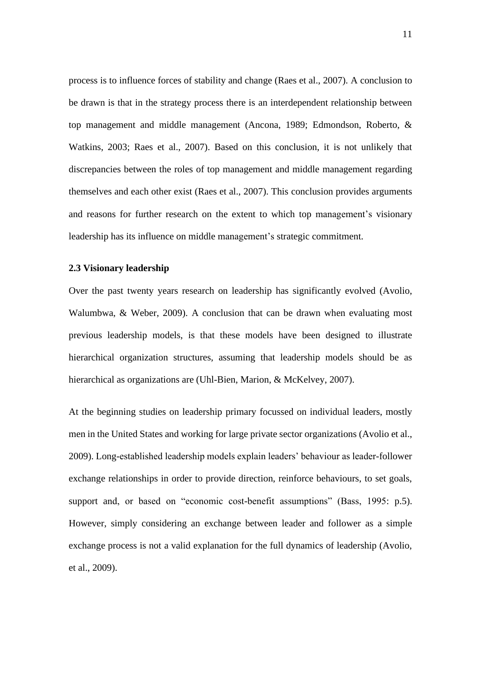process is to influence forces of stability and change (Raes et al., 2007). A conclusion to be drawn is that in the strategy process there is an interdependent relationship between top management and middle management (Ancona, 1989; Edmondson, Roberto, & Watkins, 2003; Raes et al., 2007). Based on this conclusion, it is not unlikely that discrepancies between the roles of top management and middle management regarding themselves and each other exist (Raes et al., 2007). This conclusion provides arguments and reasons for further research on the extent to which top management's visionary leadership has its influence on middle management's strategic commitment.

#### <span id="page-10-0"></span>**2.3 Visionary leadership**

Over the past twenty years research on leadership has significantly evolved (Avolio, Walumbwa, & Weber, 2009). A conclusion that can be drawn when evaluating most previous leadership models, is that these models have been designed to illustrate hierarchical organization structures, assuming that leadership models should be as hierarchical as organizations are (Uhl-Bien, Marion, & McKelvey, 2007).

At the beginning studies on leadership primary focussed on individual leaders, mostly men in the United States and working for large private sector organizations (Avolio et al., 2009). Long-established leadership models explain leaders' behaviour as leader-follower exchange relationships in order to provide direction, reinforce behaviours, to set goals, support and, or based on "economic cost-benefit assumptions" (Bass, 1995: p.5). However, simply considering an exchange between leader and follower as a simple exchange process is not a valid explanation for the full dynamics of leadership (Avolio, et al., 2009).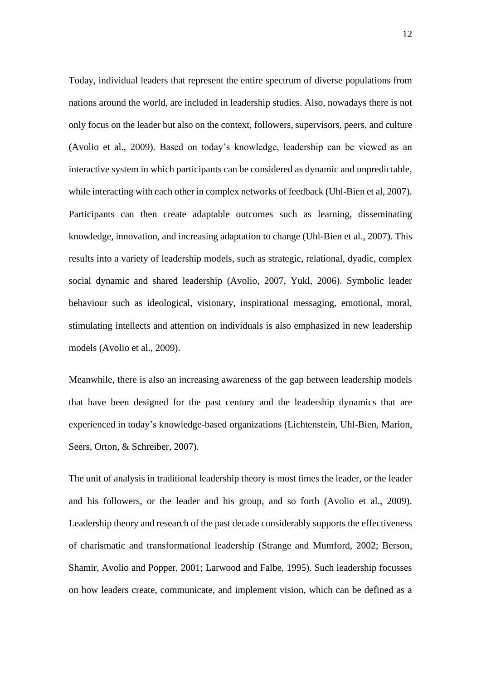Today, individual leaders that represent the entire spectrum of diverse populations from nations around the world, are included in leadership studies. Also, nowadays there is not only focus on the leader but also on the context, followers, supervisors, peers, and culture (Avolio et al., 2009). Based on today's knowledge, leadership can be viewed as an interactive system in which participants can be considered as dynamic and unpredictable, while interacting with each other in complex networks of feedback (Uhl-Bien et al, 2007). Participants can then create adaptable outcomes such as learning, disseminating knowledge, innovation, and increasing adaptation to change (Uhl-Bien et al., 2007). This results into a variety of leadership models, such as strategic, relational, dyadic, complex social dynamic and shared leadership (Avolio, 2007, Yukl, 2006). Symbolic leader behaviour such as ideological, visionary, inspirational messaging, emotional, moral, stimulating intellects and attention on individuals is also emphasized in new leadership models (Avolio et al., 2009).

Meanwhile, there is also an increasing awareness of the gap between leadership models that have been designed for the past century and the leadership dynamics that are experienced in today's knowledge-based organizations (Lichtenstein, Uhl-Bien, Marion, Seers, Orton, & Schreiber, 2007).

The unit of analysis in traditional leadership theory is most times the leader, or the leader and his followers, or the leader and his group, and so forth (Avolio et al., 2009). Leadership theory and research of the past decade considerably supports the effectiveness of charismatic and transformational leadership (Strange and Mumford, 2002; Berson, Shamir, Avolio and Popper, 2001; Larwood and Falbe, 1995). Such leadership focusses on how leaders create, communicate, and implement vision, which can be defined as a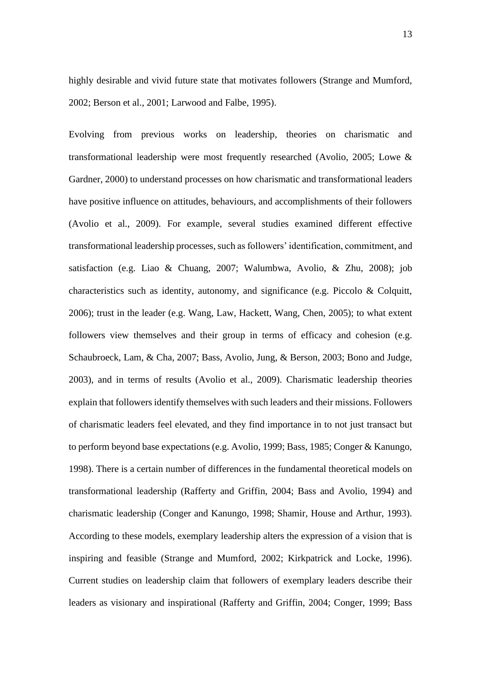highly desirable and vivid future state that motivates followers (Strange and Mumford, 2002; Berson et al., 2001; Larwood and Falbe, 1995).

Evolving from previous works on leadership, theories on charismatic and transformational leadership were most frequently researched (Avolio, 2005; Lowe & Gardner, 2000) to understand processes on how charismatic and transformational leaders have positive influence on attitudes, behaviours, and accomplishments of their followers (Avolio et al., 2009). For example, several studies examined different effective transformational leadership processes, such as followers' identification, commitment, and satisfaction (e.g. Liao & Chuang, 2007; Walumbwa, Avolio, & Zhu, 2008); job characteristics such as identity, autonomy, and significance (e.g. Piccolo & Colquitt, 2006); trust in the leader (e.g. Wang, Law, Hackett, Wang, Chen, 2005); to what extent followers view themselves and their group in terms of efficacy and cohesion (e.g. Schaubroeck, Lam, & Cha, 2007; Bass, Avolio, Jung, & Berson, 2003; Bono and Judge, 2003), and in terms of results (Avolio et al., 2009). Charismatic leadership theories explain that followers identify themselves with such leaders and their missions. Followers of charismatic leaders feel elevated, and they find importance in to not just transact but to perform beyond base expectations (e.g. Avolio, 1999; Bass, 1985; Conger & Kanungo, 1998). There is a certain number of differences in the fundamental theoretical models on transformational leadership (Rafferty and Griffin, 2004; Bass and Avolio, 1994) and charismatic leadership (Conger and Kanungo, 1998; Shamir, House and Arthur, 1993). According to these models, exemplary leadership alters the expression of a vision that is inspiring and feasible (Strange and Mumford, 2002; Kirkpatrick and Locke, 1996). Current studies on leadership claim that followers of exemplary leaders describe their leaders as visionary and inspirational (Rafferty and Griffin, 2004; Conger, 1999; Bass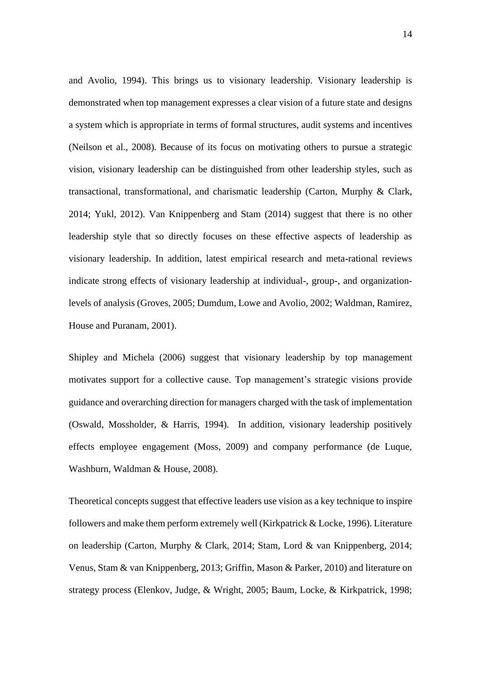and Avolio, 1994). This brings us to visionary leadership. Visionary leadership is demonstrated when top management expresses a clear vision of a future state and designs a system which is appropriate in terms of formal structures, audit systems and incentives (Neilson et al., 2008). Because of its focus on motivating others to pursue a strategic vision, visionary leadership can be distinguished from other leadership styles, such as transactional, transformational, and charismatic leadership (Carton, Murphy & Clark, 2014; Yukl, 2012). Van Knippenberg and Stam (2014) suggest that there is no other leadership style that so directly focuses on these effective aspects of leadership as visionary leadership. In addition, latest empirical research and meta-rational reviews indicate strong effects of visionary leadership at individual-, group-, and organizationlevels of analysis (Groves, 2005; Dumdum, Lowe and Avolio, 2002; Waldman, Ramirez, House and Puranam, 2001).

Shipley and Michela (2006) suggest that visionary leadership by top management motivates support for a collective cause. Top management's strategic visions provide guidance and overarching direction for managers charged with the task of implementation (Oswald, Mossholder, & Harris, 1994). In addition, visionary leadership positively effects employee engagement (Moss, 2009) and company performance (de Luque, Washburn, Waldman & House, 2008).

Theoretical concepts suggest that effective leaders use vision as a key technique to inspire followers and make them perform extremely well (Kirkpatrick & Locke, 1996). Literature on leadership (Carton, Murphy & Clark, 2014; Stam, Lord & van Knippenberg, 2014; Venus, Stam & van Knippenberg, 2013; Griffin, Mason & Parker, 2010) and literature on strategy process (Elenkov, Judge, & Wright, 2005; Baum, Locke, & Kirkpatrick, 1998;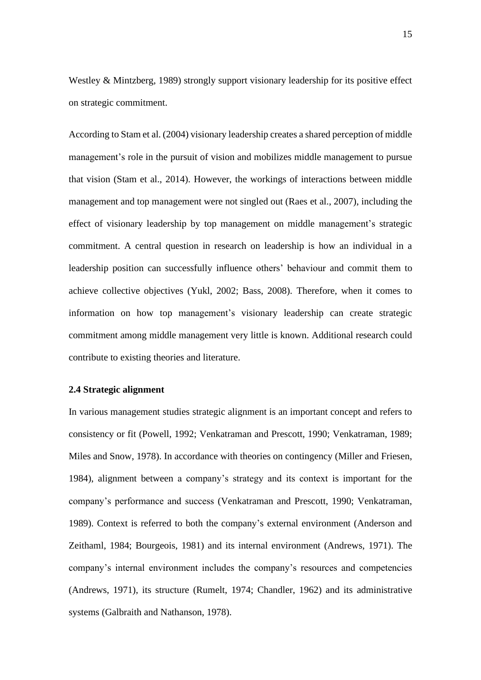Westley & Mintzberg, 1989) strongly support visionary leadership for its positive effect on strategic commitment.

According to Stam et al. (2004) visionary leadership creates a shared perception of middle management's role in the pursuit of vision and mobilizes middle management to pursue that vision (Stam et al., 2014). However, the workings of interactions between middle management and top management were not singled out (Raes et al., 2007), including the effect of visionary leadership by top management on middle management's strategic commitment. A central question in research on leadership is how an individual in a leadership position can successfully influence others' behaviour and commit them to achieve collective objectives (Yukl, 2002; Bass, 2008). Therefore, when it comes to information on how top management's visionary leadership can create strategic commitment among middle management very little is known. Additional research could contribute to existing theories and literature.

#### <span id="page-14-0"></span>**2.4 Strategic alignment**

In various management studies strategic alignment is an important concept and refers to consistency or fit (Powell, 1992; Venkatraman and Prescott, 1990; Venkatraman, 1989; Miles and Snow, 1978). In accordance with theories on contingency (Miller and Friesen, 1984), alignment between a company's strategy and its context is important for the company's performance and success (Venkatraman and Prescott, 1990; Venkatraman, 1989). Context is referred to both the company's external environment (Anderson and Zeithaml, 1984; Bourgeois, 1981) and its internal environment (Andrews, 1971). The company's internal environment includes the company's resources and competencies (Andrews, 1971), its structure (Rumelt, 1974; Chandler, 1962) and its administrative systems (Galbraith and Nathanson, 1978).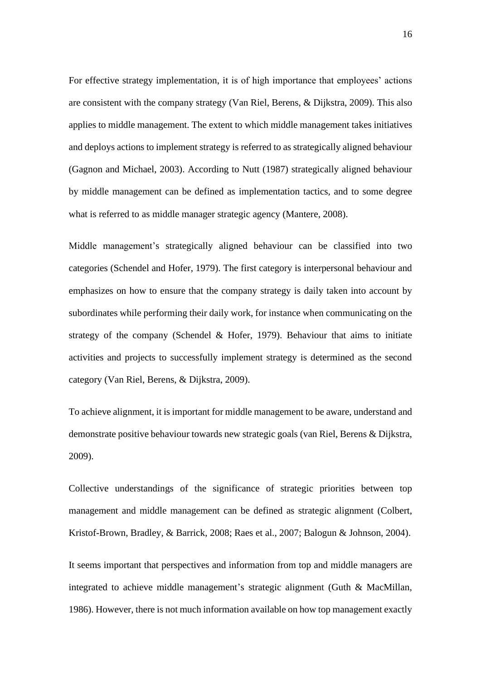For effective strategy implementation, it is of high importance that employees' actions are consistent with the company strategy (Van Riel, Berens, & Dijkstra, 2009). This also applies to middle management. The extent to which middle management takes initiatives and deploys actions to implement strategy is referred to as strategically aligned behaviour (Gagnon and Michael, 2003). According to Nutt (1987) strategically aligned behaviour by middle management can be defined as implementation tactics, and to some degree what is referred to as middle manager strategic agency (Mantere, 2008).

Middle management's strategically aligned behaviour can be classified into two categories (Schendel and Hofer, 1979). The first category is interpersonal behaviour and emphasizes on how to ensure that the company strategy is daily taken into account by subordinates while performing their daily work, for instance when communicating on the strategy of the company (Schendel & Hofer, 1979). Behaviour that aims to initiate activities and projects to successfully implement strategy is determined as the second category (Van Riel, Berens, & Dijkstra, 2009).

To achieve alignment, it is important for middle management to be aware, understand and demonstrate positive behaviour towards new strategic goals (van Riel, Berens & Dijkstra, 2009).

Collective understandings of the significance of strategic priorities between top management and middle management can be defined as strategic alignment (Colbert, Kristof-Brown, Bradley, & Barrick, 2008; Raes et al., 2007; Balogun & Johnson, 2004).

It seems important that perspectives and information from top and middle managers are integrated to achieve middle management's strategic alignment (Guth & MacMillan, 1986). However, there is not much information available on how top management exactly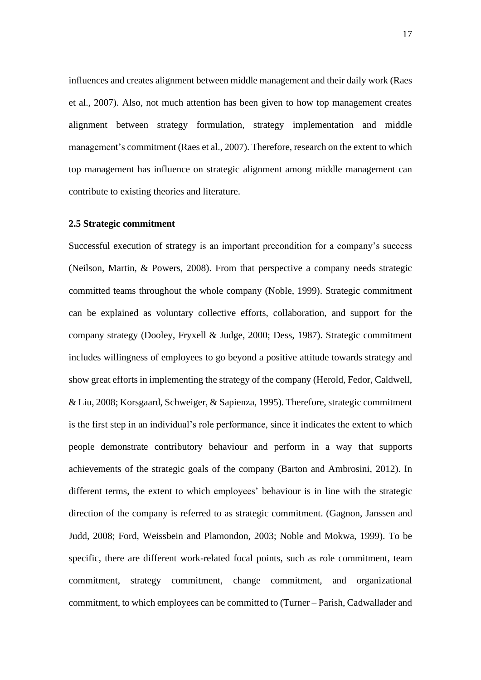influences and creates alignment between middle management and their daily work (Raes et al., 2007). Also, not much attention has been given to how top management creates alignment between strategy formulation, strategy implementation and middle management's commitment (Raes et al., 2007). Therefore, research on the extent to which top management has influence on strategic alignment among middle management can contribute to existing theories and literature.

#### <span id="page-16-0"></span>**2.5 Strategic commitment**

Successful execution of strategy is an important precondition for a company's success (Neilson, Martin, & Powers, 2008). From that perspective a company needs strategic committed teams throughout the whole company (Noble, 1999). Strategic commitment can be explained as voluntary collective efforts, collaboration, and support for the company strategy (Dooley, Fryxell & Judge, 2000; Dess, 1987). Strategic commitment includes willingness of employees to go beyond a positive attitude towards strategy and show great efforts in implementing the strategy of the company (Herold, Fedor, Caldwell, & Liu, 2008; Korsgaard, Schweiger, & Sapienza, 1995). Therefore, strategic commitment is the first step in an individual's role performance, since it indicates the extent to which people demonstrate contributory behaviour and perform in a way that supports achievements of the strategic goals of the company (Barton and Ambrosini, 2012). In different terms, the extent to which employees' behaviour is in line with the strategic direction of the company is referred to as strategic commitment. (Gagnon, Janssen and Judd, 2008; Ford, Weissbein and Plamondon, 2003; Noble and Mokwa, 1999). To be specific, there are different work-related focal points, such as role commitment, team commitment, strategy commitment, change commitment, and organizational commitment, to which employees can be committed to (Turner – Parish, Cadwallader and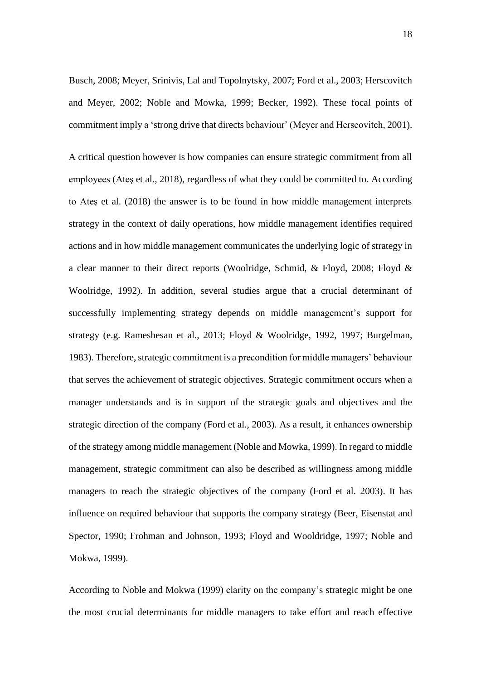Busch, 2008; Meyer, Srinivis, Lal and Topolnytsky, 2007; Ford et al., 2003; Herscovitch and Meyer, 2002; Noble and Mowka, 1999; Becker, 1992). These focal points of commitment imply a 'strong drive that directs behaviour' (Meyer and Herscovitch, 2001).

A critical question however is how companies can ensure strategic commitment from all employees (Ateş et al., 2018), regardless of what they could be committed to. According to Ateş et al. (2018) the answer is to be found in how middle management interprets strategy in the context of daily operations, how middle management identifies required actions and in how middle management communicates the underlying logic of strategy in a clear manner to their direct reports (Woolridge, Schmid, & Floyd, 2008; Floyd & Woolridge, 1992). In addition, several studies argue that a crucial determinant of successfully implementing strategy depends on middle management's support for strategy (e.g. Rameshesan et al., 2013; Floyd & Woolridge, 1992, 1997; Burgelman, 1983). Therefore, strategic commitment is a precondition for middle managers' behaviour that serves the achievement of strategic objectives. Strategic commitment occurs when a manager understands and is in support of the strategic goals and objectives and the strategic direction of the company (Ford et al., 2003). As a result, it enhances ownership of the strategy among middle management (Noble and Mowka, 1999). In regard to middle management, strategic commitment can also be described as willingness among middle managers to reach the strategic objectives of the company (Ford et al. 2003). It has influence on required behaviour that supports the company strategy (Beer, Eisenstat and Spector, 1990; Frohman and Johnson, 1993; Floyd and Wooldridge, 1997; Noble and Mokwa, 1999).

According to Noble and Mokwa (1999) clarity on the company's strategic might be one the most crucial determinants for middle managers to take effort and reach effective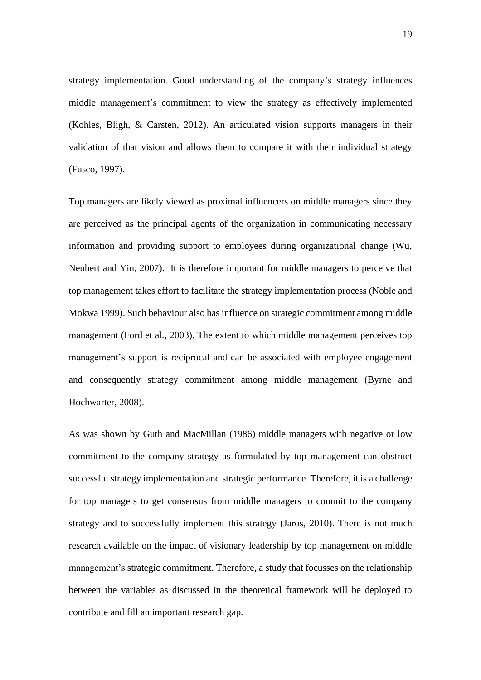strategy implementation. Good understanding of the company's strategy influences middle management's commitment to view the strategy as effectively implemented (Kohles, Bligh, & Carsten, 2012). An articulated vision supports managers in their validation of that vision and allows them to compare it with their individual strategy (Fusco, 1997).

Top managers are likely viewed as proximal influencers on middle managers since they are perceived as the principal agents of the organization in communicating necessary information and providing support to employees during organizational change (Wu, Neubert and Yin, 2007). It is therefore important for middle managers to perceive that top management takes effort to facilitate the strategy implementation process (Noble and Mokwa 1999). Such behaviour also has influence on strategic commitment among middle management (Ford et al., 2003). The extent to which middle management perceives top management's support is reciprocal and can be associated with employee engagement and consequently strategy commitment among middle management (Byrne and Hochwarter, 2008).

As was shown by Guth and MacMillan (1986) middle managers with negative or low commitment to the company strategy as formulated by top management can obstruct successful strategy implementation and strategic performance. Therefore, it is a challenge for top managers to get consensus from middle managers to commit to the company strategy and to successfully implement this strategy (Jaros, 2010). There is not much research available on the impact of visionary leadership by top management on middle management's strategic commitment. Therefore, a study that focusses on the relationship between the variables as discussed in the theoretical framework will be deployed to contribute and fill an important research gap.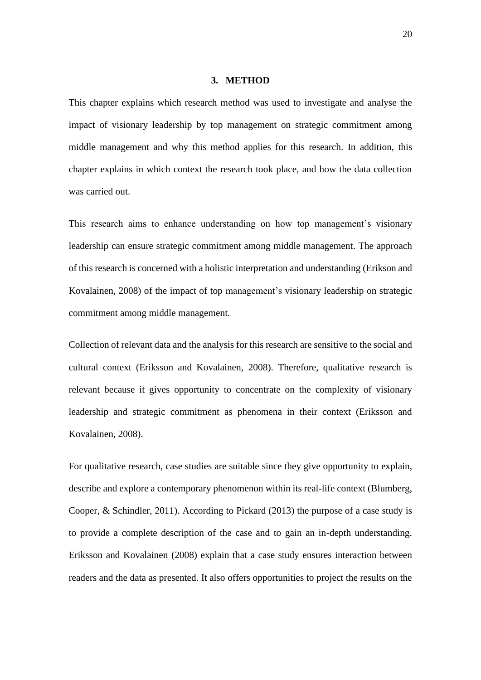#### **3. METHOD**

<span id="page-19-0"></span>This chapter explains which research method was used to investigate and analyse the impact of visionary leadership by top management on strategic commitment among middle management and why this method applies for this research. In addition, this chapter explains in which context the research took place, and how the data collection was carried out.

This research aims to enhance understanding on how top management's visionary leadership can ensure strategic commitment among middle management. The approach of this research is concerned with a holistic interpretation and understanding (Erikson and Kovalainen, 2008) of the impact of top management's visionary leadership on strategic commitment among middle management.

Collection of relevant data and the analysis for this research are sensitive to the social and cultural context (Eriksson and Kovalainen, 2008). Therefore, qualitative research is relevant because it gives opportunity to concentrate on the complexity of visionary leadership and strategic commitment as phenomena in their context (Eriksson and Kovalainen, 2008).

For qualitative research, case studies are suitable since they give opportunity to explain, describe and explore a contemporary phenomenon within its real-life context (Blumberg, Cooper, & Schindler, 2011). According to Pickard (2013) the purpose of a case study is to provide a complete description of the case and to gain an in-depth understanding. Eriksson and Kovalainen (2008) explain that a case study ensures interaction between readers and the data as presented. It also offers opportunities to project the results on the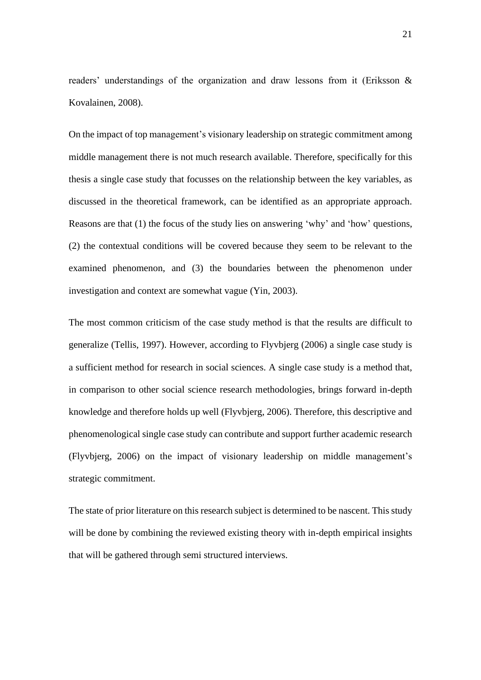readers' understandings of the organization and draw lessons from it (Eriksson & Kovalainen, 2008).

On the impact of top management's visionary leadership on strategic commitment among middle management there is not much research available. Therefore, specifically for this thesis a single case study that focusses on the relationship between the key variables, as discussed in the theoretical framework, can be identified as an appropriate approach. Reasons are that (1) the focus of the study lies on answering 'why' and 'how' questions, (2) the contextual conditions will be covered because they seem to be relevant to the examined phenomenon, and (3) the boundaries between the phenomenon under investigation and context are somewhat vague (Yin, 2003).

The most common criticism of the case study method is that the results are difficult to generalize (Tellis, 1997). However, according to Flyvbjerg (2006) a single case study is a sufficient method for research in social sciences. A single case study is a method that, in comparison to other social science research methodologies, brings forward in-depth knowledge and therefore holds up well (Flyvbjerg, 2006). Therefore, this descriptive and phenomenological single case study can contribute and support further academic research (Flyvbjerg, 2006) on the impact of visionary leadership on middle management's strategic commitment.

The state of prior literature on this research subject is determined to be nascent. This study will be done by combining the reviewed existing theory with in-depth empirical insights that will be gathered through semi structured interviews.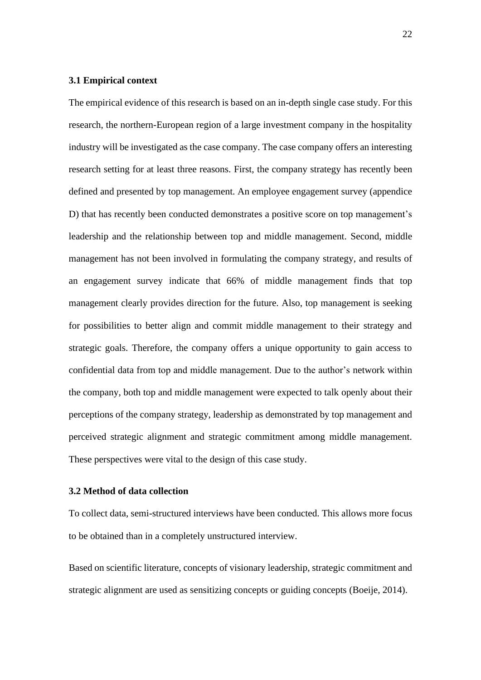#### <span id="page-21-0"></span>**3.1 Empirical context**

The empirical evidence of this research is based on an in-depth single case study. For this research, the northern-European region of a large investment company in the hospitality industry will be investigated as the case company. The case company offers an interesting research setting for at least three reasons. First, the company strategy has recently been defined and presented by top management. An employee engagement survey (appendice D) that has recently been conducted demonstrates a positive score on top management's leadership and the relationship between top and middle management. Second, middle management has not been involved in formulating the company strategy, and results of an engagement survey indicate that 66% of middle management finds that top management clearly provides direction for the future. Also, top management is seeking for possibilities to better align and commit middle management to their strategy and strategic goals. Therefore, the company offers a unique opportunity to gain access to confidential data from top and middle management. Due to the author's network within the company, both top and middle management were expected to talk openly about their perceptions of the company strategy, leadership as demonstrated by top management and perceived strategic alignment and strategic commitment among middle management. These perspectives were vital to the design of this case study.

### <span id="page-21-1"></span>**3.2 Method of data collection**

To collect data, semi-structured interviews have been conducted. This allows more focus to be obtained than in a completely unstructured interview.

Based on scientific literature, concepts of visionary leadership, strategic commitment and strategic alignment are used as sensitizing concepts or guiding concepts (Boeije, 2014).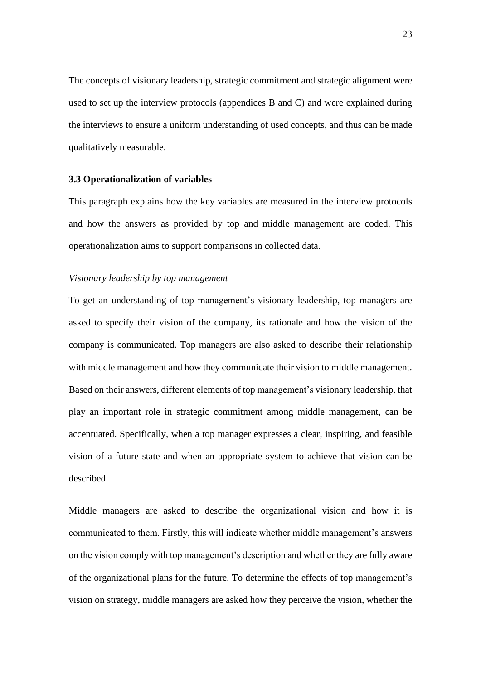The concepts of visionary leadership, strategic commitment and strategic alignment were used to set up the interview protocols (appendices B and C) and were explained during the interviews to ensure a uniform understanding of used concepts, and thus can be made qualitatively measurable.

#### <span id="page-22-0"></span>**3.3 Operationalization of variables**

This paragraph explains how the key variables are measured in the interview protocols and how the answers as provided by top and middle management are coded. This operationalization aims to support comparisons in collected data.

#### *Visionary leadership by top management*

To get an understanding of top management's visionary leadership, top managers are asked to specify their vision of the company, its rationale and how the vision of the company is communicated. Top managers are also asked to describe their relationship with middle management and how they communicate their vision to middle management. Based on their answers, different elements of top management's visionary leadership, that play an important role in strategic commitment among middle management, can be accentuated. Specifically, when a top manager expresses a clear, inspiring, and feasible vision of a future state and when an appropriate system to achieve that vision can be described.

Middle managers are asked to describe the organizational vision and how it is communicated to them. Firstly, this will indicate whether middle management's answers on the vision comply with top management's description and whether they are fully aware of the organizational plans for the future. To determine the effects of top management's vision on strategy, middle managers are asked how they perceive the vision, whether the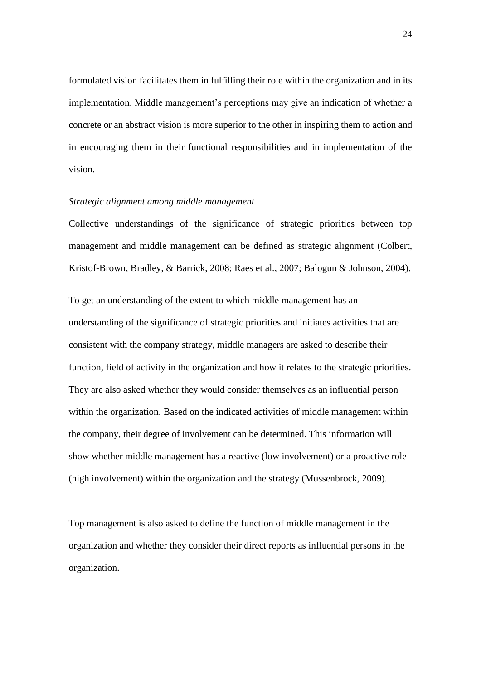formulated vision facilitates them in fulfilling their role within the organization and in its implementation. Middle management's perceptions may give an indication of whether a concrete or an abstract vision is more superior to the other in inspiring them to action and in encouraging them in their functional responsibilities and in implementation of the vision.

#### *Strategic alignment among middle management*

Collective understandings of the significance of strategic priorities between top management and middle management can be defined as strategic alignment (Colbert, Kristof-Brown, Bradley, & Barrick, 2008; Raes et al., 2007; Balogun & Johnson, 2004).

To get an understanding of the extent to which middle management has an understanding of the significance of strategic priorities and initiates activities that are consistent with the company strategy, middle managers are asked to describe their function, field of activity in the organization and how it relates to the strategic priorities. They are also asked whether they would consider themselves as an influential person within the organization. Based on the indicated activities of middle management within the company, their degree of involvement can be determined. This information will show whether middle management has a reactive (low involvement) or a proactive role (high involvement) within the organization and the strategy (Mussenbrock, 2009).

Top management is also asked to define the function of middle management in the organization and whether they consider their direct reports as influential persons in the organization.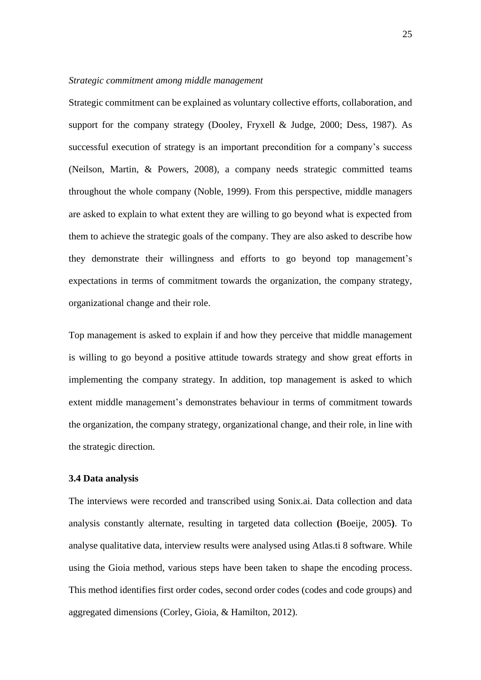#### *Strategic commitment among middle management*

Strategic commitment can be explained as voluntary collective efforts, collaboration, and support for the company strategy (Dooley, Fryxell & Judge, 2000; Dess, 1987). As successful execution of strategy is an important precondition for a company's success (Neilson, Martin, & Powers, 2008), a company needs strategic committed teams throughout the whole company (Noble, 1999). From this perspective, middle managers are asked to explain to what extent they are willing to go beyond what is expected from them to achieve the strategic goals of the company. They are also asked to describe how they demonstrate their willingness and efforts to go beyond top management's expectations in terms of commitment towards the organization, the company strategy, organizational change and their role.

Top management is asked to explain if and how they perceive that middle management is willing to go beyond a positive attitude towards strategy and show great efforts in implementing the company strategy. In addition, top management is asked to which extent middle management's demonstrates behaviour in terms of commitment towards the organization, the company strategy, organizational change, and their role, in line with the strategic direction.

#### **3.4 Data analysis**

The interviews were recorded and transcribed using Sonix.ai. Data collection and data analysis constantly alternate, resulting in targeted data collection **(**Boeije, 2005**)**. To analyse qualitative data, interview results were analysed using Atlas.ti 8 software. While using the Gioia method, various steps have been taken to shape the encoding process. This method identifies first order codes, second order codes (codes and code groups) and aggregated dimensions (Corley, Gioia, & Hamilton, 2012).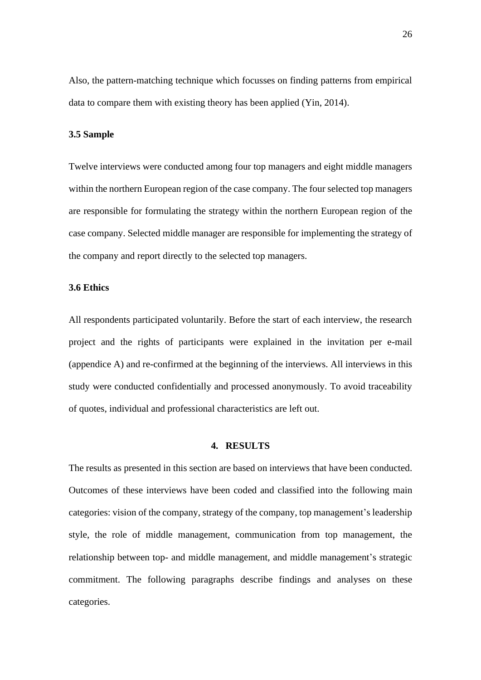Also, the pattern-matching technique which focusses on finding patterns from empirical data to compare them with existing theory has been applied (Yin, 2014).

#### **3.5 Sample**

Twelve interviews were conducted among four top managers and eight middle managers within the northern European region of the case company. The four selected top managers are responsible for formulating the strategy within the northern European region of the case company. Selected middle manager are responsible for implementing the strategy of the company and report directly to the selected top managers.

### **3.6 Ethics**

All respondents participated voluntarily. Before the start of each interview, the research project and the rights of participants were explained in the invitation per e-mail (appendice A) and re-confirmed at the beginning of the interviews. All interviews in this study were conducted confidentially and processed anonymously. To avoid traceability of quotes, individual and professional characteristics are left out.

#### **4. RESULTS**

<span id="page-25-0"></span>The results as presented in this section are based on interviews that have been conducted. Outcomes of these interviews have been coded and classified into the following main categories: vision of the company, strategy of the company, top management's leadership style, the role of middle management, communication from top management, the relationship between top- and middle management, and middle management's strategic commitment. The following paragraphs describe findings and analyses on these categories.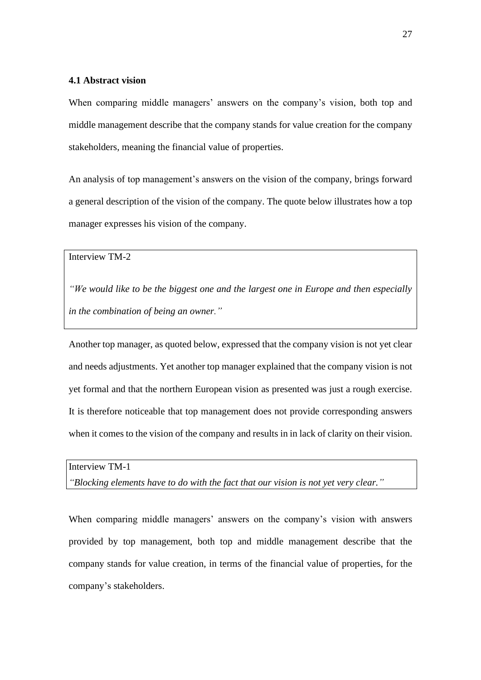### <span id="page-26-0"></span>**4.1 Abstract vision**

When comparing middle managers' answers on the company's vision, both top and middle management describe that the company stands for value creation for the company stakeholders, meaning the financial value of properties.

An analysis of top management's answers on the vision of the company, brings forward a general description of the vision of the company. The quote below illustrates how a top manager expresses his vision of the company.

Interview TM-2

*"We would like to be the biggest one and the largest one in Europe and then especially in the combination of being an owner."*

Another top manager, as quoted below, expressed that the company vision is not yet clear and needs adjustments. Yet another top manager explained that the company vision is not yet formal and that the northern European vision as presented was just a rough exercise. It is therefore noticeable that top management does not provide corresponding answers when it comes to the vision of the company and results in in lack of clarity on their vision.

Interview TM-1

*"Blocking elements have to do with the fact that our vision is not yet very clear."*

When comparing middle managers' answers on the company's vision with answers provided by top management, both top and middle management describe that the company stands for value creation, in terms of the financial value of properties, for the company's stakeholders.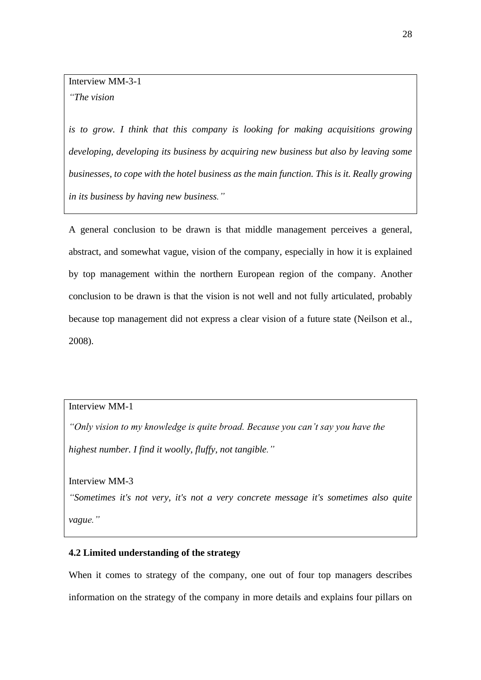Interview MM-3-1 *"The vision* 

*is to grow. I think that this company is looking for making acquisitions growing developing, developing its business by acquiring new business but also by leaving some businesses, to cope with the hotel business as the main function. This is it. Really growing in its business by having new business."*

A general conclusion to be drawn is that middle management perceives a general, abstract, and somewhat vague, vision of the company, especially in how it is explained by top management within the northern European region of the company. Another conclusion to be drawn is that the vision is not well and not fully articulated, probably because top management did not express a clear vision of a future state (Neilson et al., 2008).

# Interview MM-1

*"Only vision to my knowledge is quite broad. Because you can't say you have the highest number. I find it woolly, fluffy, not tangible."*

Interview MM-3

*"Sometimes it's not very, it's not a very concrete message it's sometimes also quite vague."*

### <span id="page-27-0"></span>**4.2 Limited understanding of the strategy**

When it comes to strategy of the company, one out of four top managers describes information on the strategy of the company in more details and explains four pillars on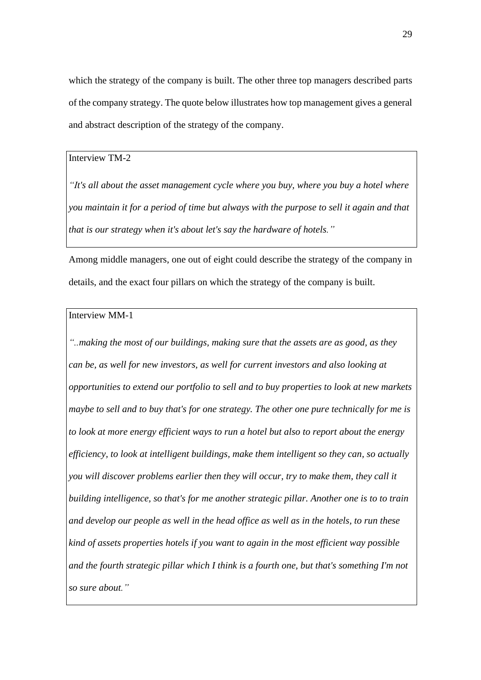which the strategy of the company is built. The other three top managers described parts of the company strategy. The quote below illustrates how top management gives a general and abstract description of the strategy of the company.

### Interview TM-2

*"It's all about the asset management cycle where you buy, where you buy a hotel where you maintain it for a period of time but always with the purpose to sell it again and that that is our strategy when it's about let's say the hardware of hotels."*

Among middle managers, one out of eight could describe the strategy of the company in details, and the exact four pillars on which the strategy of the company is built.

### Interview MM-1

*"..making the most of our buildings, making sure that the assets are as good, as they can be, as well for new investors, as well for current investors and also looking at opportunities to extend our portfolio to sell and to buy properties to look at new markets maybe to sell and to buy that's for one strategy. The other one pure technically for me is to look at more energy efficient ways to run a hotel but also to report about the energy efficiency, to look at intelligent buildings, make them intelligent so they can, so actually you will discover problems earlier then they will occur, try to make them, they call it building intelligence, so that's for me another strategic pillar. Another one is to to train and develop our people as well in the head office as well as in the hotels, to run these kind of assets properties hotels if you want to again in the most efficient way possible and the fourth strategic pillar which I think is a fourth one, but that's something I'm not so sure about."*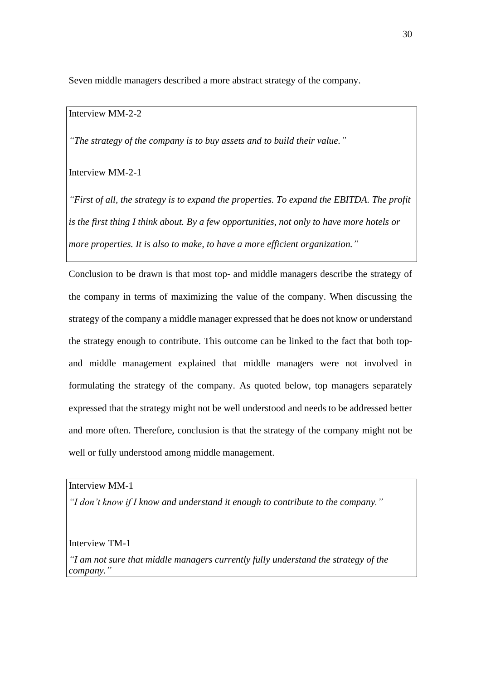Seven middle managers described a more abstract strategy of the company.

# Interview MM-2-2

*"The strategy of the company is to buy assets and to build their value."*

Interview MM-2-1

*"First of all, the strategy is to expand the properties. To expand the EBITDA. The profit is the first thing I think about. By a few opportunities, not only to have more hotels or more properties. It is also to make, to have a more efficient organization."*

Conclusion to be drawn is that most top- and middle managers describe the strategy of the company in terms of maximizing the value of the company. When discussing the strategy of the company a middle manager expressed that he does not know or understand the strategy enough to contribute. This outcome can be linked to the fact that both topand middle management explained that middle managers were not involved in formulating the strategy of the company. As quoted below, top managers separately expressed that the strategy might not be well understood and needs to be addressed better and more often. Therefore, conclusion is that the strategy of the company might not be well or fully understood among middle management.

Interview MM-1

*"I don't know if I know and understand it enough to contribute to the company."*

Interview TM-1

*"I am not sure that middle managers currently fully understand the strategy of the company."*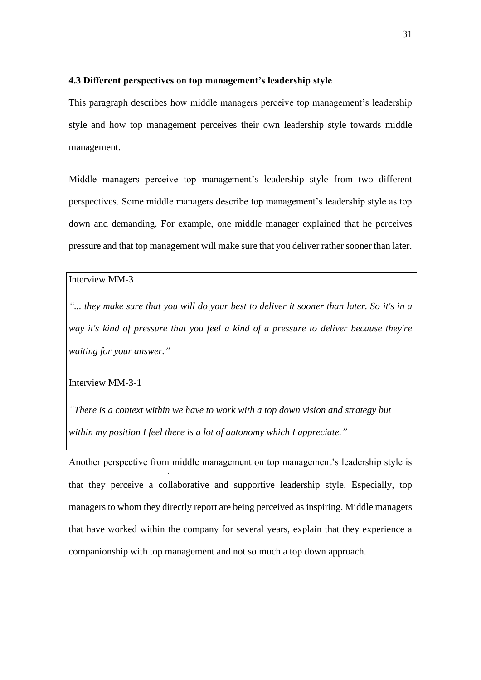#### <span id="page-30-0"></span>**4.3 Different perspectives on top management's leadership style**

This paragraph describes how middle managers perceive top management's leadership style and how top management perceives their own leadership style towards middle management.

Middle managers perceive top management's leadership style from two different perspectives. Some middle managers describe top management's leadership style as top down and demanding. For example, one middle manager explained that he perceives pressure and that top management will make sure that you deliver rather sooner than later.

Interview MM-3

*"... they make sure that you will do your best to deliver it sooner than later. So it's in a way it's kind of pressure that you feel a kind of a pressure to deliver because they're waiting for your answer."*

Interview MM-3-1

*"There is a context within we have to work with a top down vision and strategy but within my position I feel there is a lot of autonomy which I appreciate."*

Another perspective from middle management on top management's leadership style is that they perceive a collaborative and supportive leadership style. Especially, top managers to whom they directly report are being perceived as inspiring. Middle managers that have worked within the company for several years, explain that they experience a companionship with top management and not so much a top down approach.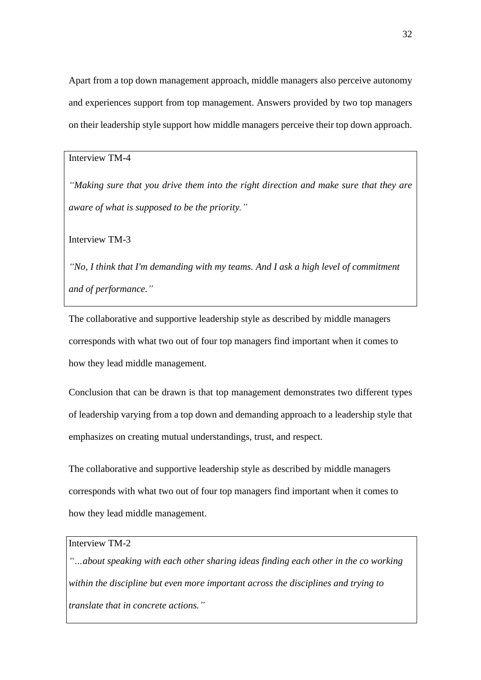Apart from a top down management approach, middle managers also perceive autonomy and experiences support from top management. Answers provided by two top managers on their leadership style support how middle managers perceive their top down approach.

### Interview TM-4

*"Making sure that you drive them into the right direction and make sure that they are aware of what is supposed to be the priority."*

Interview TM-3

*"No, I think that I'm demanding with my teams. And I ask a high level of commitment and of performance."*

The collaborative and supportive leadership style as described by middle managers corresponds with what two out of four top managers find important when it comes to how they lead middle management.

Conclusion that can be drawn is that top management demonstrates two different types of leadership varying from a top down and demanding approach to a leadership style that emphasizes on creating mutual understandings, trust, and respect.

The collaborative and supportive leadership style as described by middle managers corresponds with what two out of four top managers find important when it comes to how they lead middle management.

# Interview TM-2

*"…about speaking with each other sharing ideas finding each other in the co working within the discipline but even more important across the disciplines and trying to translate that in concrete actions."*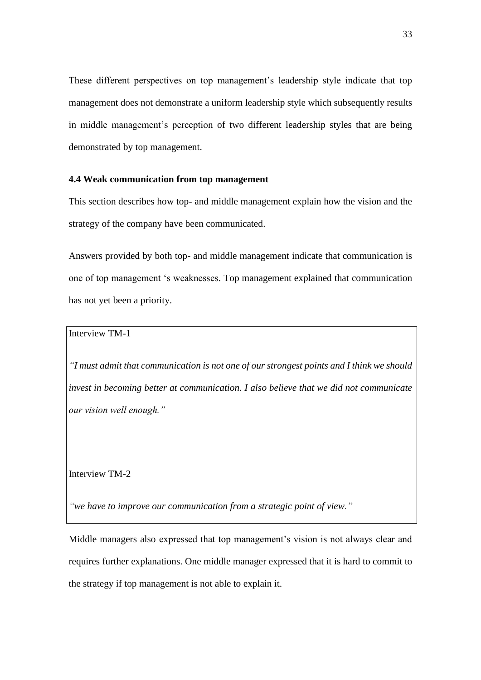These different perspectives on top management's leadership style indicate that top management does not demonstrate a uniform leadership style which subsequently results in middle management's perception of two different leadership styles that are being demonstrated by top management.

#### <span id="page-32-0"></span>**4.4 Weak communication from top management**

This section describes how top- and middle management explain how the vision and the strategy of the company have been communicated.

Answers provided by both top- and middle management indicate that communication is one of top management 's weaknesses. Top management explained that communication has not yet been a priority.

Interview TM-1

*"I must admit that communication is not one of our strongest points and I think we should invest in becoming better at communication. I also believe that we did not communicate our vision well enough."*

Interview TM-2

*"we have to improve our communication from a strategic point of view."*

Middle managers also expressed that top management's vision is not always clear and requires further explanations. One middle manager expressed that it is hard to commit to the strategy if top management is not able to explain it.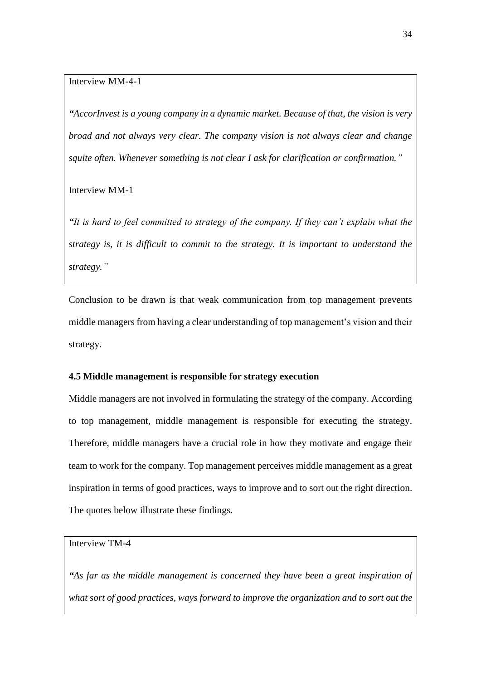Interview MM-4-1

*"AccorInvest is a young company in a dynamic market. Because of that, the vision is very broad and not always very clear. The company vision is not always clear and change squite often. Whenever something is not clear I ask for clarification or confirmation."*

Interview MM-1

*"It is hard to feel committed to strategy of the company. If they can't explain what the strategy is, it is difficult to commit to the strategy. It is important to understand the strategy."*

Conclusion to be drawn is that weak communication from top management prevents middle managers from having a clear understanding of top management's vision and their strategy.

#### <span id="page-33-0"></span>**4.5 Middle management is responsible for strategy execution**

Middle managers are not involved in formulating the strategy of the company. According to top management, middle management is responsible for executing the strategy. Therefore, middle managers have a crucial role in how they motivate and engage their team to work for the company. Top management perceives middle management as a great inspiration in terms of good practices, ways to improve and to sort out the right direction. The quotes below illustrate these findings.

Interview TM-4

*"As far as the middle management is concerned they have been a great inspiration of what sort of good practices, ways forward to improve the organization and to sort out the*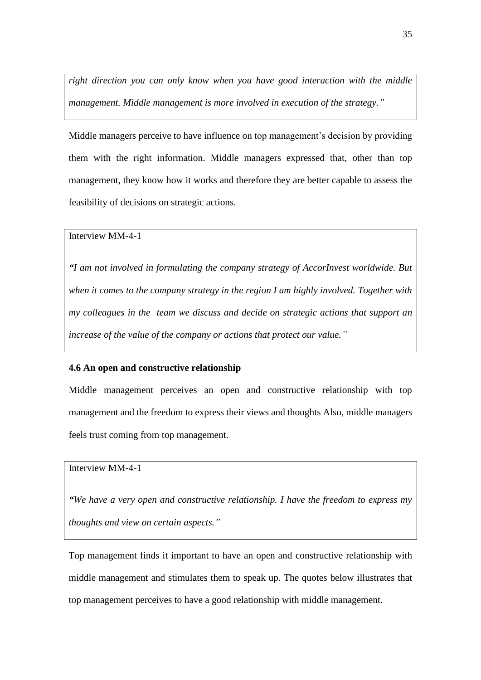*right direction you can only know when you have good interaction with the middle management. Middle management is more involved in execution of the strategy."*

Middle managers perceive to have influence on top management's decision by providing them with the right information. Middle managers expressed that, other than top management, they know how it works and therefore they are better capable to assess the feasibility of decisions on strategic actions.

### Interview MM-4-1

*"I am not involved in formulating the company strategy of AccorInvest worldwide. But when it comes to the company strategy in the region I am highly involved. Together with my colleagues in the team we discuss and decide on strategic actions that support an increase of the value of the company or actions that protect our value."*

### <span id="page-34-0"></span>**4.6 An open and constructive relationship**

Middle management perceives an open and constructive relationship with top management and the freedom to express their views and thoughts Also, middle managers feels trust coming from top management.

### Interview MM-4-1

*"We have a very open and constructive relationship. I have the freedom to express my thoughts and view on certain aspects."*

Top management finds it important to have an open and constructive relationship with middle management and stimulates them to speak up. The quotes below illustrates that top management perceives to have a good relationship with middle management.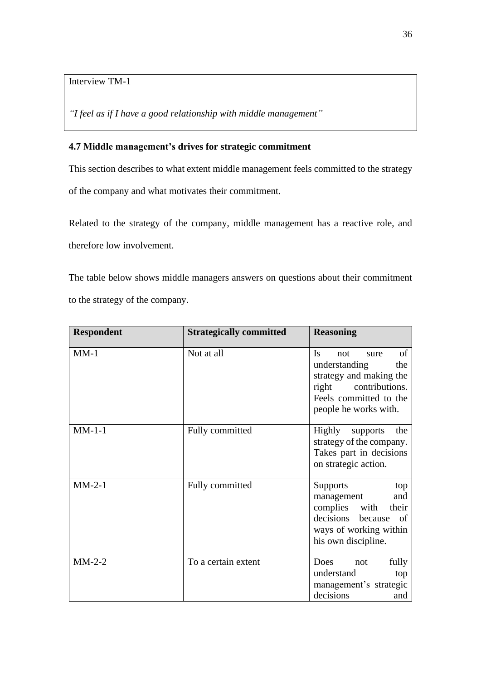Interview TM-1

*"I feel as if I have a good relationship with middle management"*

# <span id="page-35-0"></span>**4.7 Middle management's drives for strategic commitment**

This section describes to what extent middle management feels committed to the strategy of the company and what motivates their commitment.

Related to the strategy of the company, middle management has a reactive role, and therefore low involvement.

The table below shows middle managers answers on questions about their commitment to the strategy of the company.

| <b>Respondent</b> | <b>Strategically committed</b> | <b>Reasoning</b>                                                                                                                                      |
|-------------------|--------------------------------|-------------------------------------------------------------------------------------------------------------------------------------------------------|
| $MM-1$            | Not at all                     | of<br>Is<br>not<br>sure<br>understanding<br>the<br>strategy and making the<br>right contributions.<br>Feels committed to the<br>people he works with. |
| $MM-1-1$          | Fully committed                | Highly<br>the<br>supports<br>strategy of the company.<br>Takes part in decisions<br>on strategic action.                                              |
| $MM-2-1$          | Fully committed                | <b>Supports</b><br>top<br>and<br>management<br>complies with<br>their<br>decisions because of<br>ways of working within<br>his own discipline.        |
| $MM-2-2$          | To a certain extent            | Does<br>not<br>fully<br>understand<br>top<br>management's strategic<br>decisions<br>and                                                               |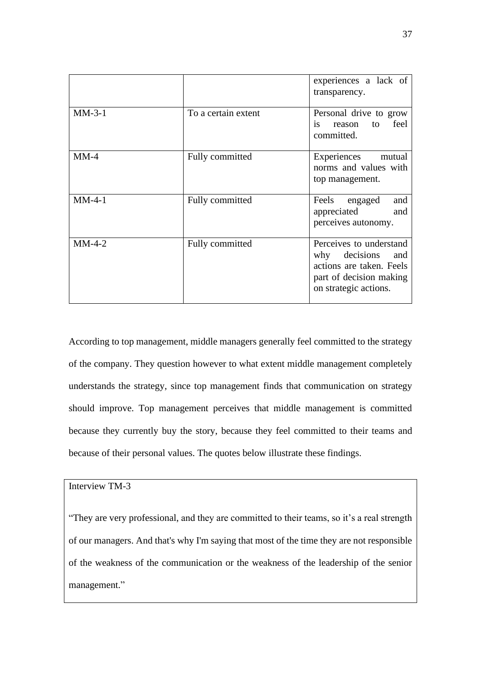|          |                     | experiences a lack of<br>transparency.                                                                                          |
|----------|---------------------|---------------------------------------------------------------------------------------------------------------------------------|
| $MM-3-1$ | To a certain extent | Personal drive to grow<br>feel<br>is<br>to<br>reason<br>committed.                                                              |
| $MM-4$   | Fully committed     | Experiences mutual<br>norms and values with<br>top management.                                                                  |
| $MM-4-1$ | Fully committed     | Feels engaged<br>and<br>appreciated<br>and<br>perceives autonomy.                                                               |
| $MM-4-2$ | Fully committed     | Perceives to understand<br>why decisions<br>and<br>actions are taken. Feels<br>part of decision making<br>on strategic actions. |

According to top management, middle managers generally feel committed to the strategy of the company. They question however to what extent middle management completely understands the strategy, since top management finds that communication on strategy should improve. Top management perceives that middle management is committed because they currently buy the story, because they feel committed to their teams and because of their personal values. The quotes below illustrate these findings.

# Interview TM-3

"They are very professional, and they are committed to their teams, so it's a real strength of our managers. And that's why I'm saying that most of the time they are not responsible of the weakness of the communication or the weakness of the leadership of the senior management."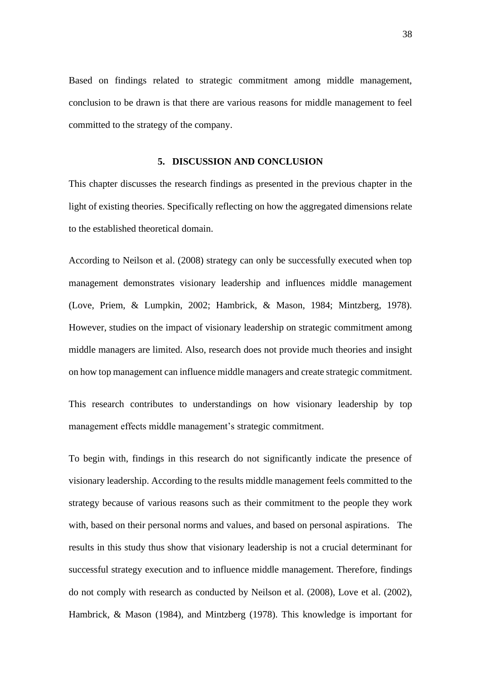Based on findings related to strategic commitment among middle management, conclusion to be drawn is that there are various reasons for middle management to feel committed to the strategy of the company.

#### **5. DISCUSSION AND CONCLUSION**

This chapter discusses the research findings as presented in the previous chapter in the light of existing theories. Specifically reflecting on how the aggregated dimensions relate to the established theoretical domain.

According to Neilson et al. (2008) strategy can only be successfully executed when top management demonstrates visionary leadership and influences middle management (Love, Priem, & Lumpkin, 2002; Hambrick, & Mason, 1984; Mintzberg, 1978). However, studies on the impact of visionary leadership on strategic commitment among middle managers are limited. Also, research does not provide much theories and insight on how top management can influence middle managers and create strategic commitment.

This research contributes to understandings on how visionary leadership by top management effects middle management's strategic commitment.

To begin with, findings in this research do not significantly indicate the presence of visionary leadership. According to the results middle management feels committed to the strategy because of various reasons such as their commitment to the people they work with, based on their personal norms and values, and based on personal aspirations. The results in this study thus show that visionary leadership is not a crucial determinant for successful strategy execution and to influence middle management. Therefore, findings do not comply with research as conducted by Neilson et al. (2008), Love et al. (2002), Hambrick, & Mason (1984), and Mintzberg (1978). This knowledge is important for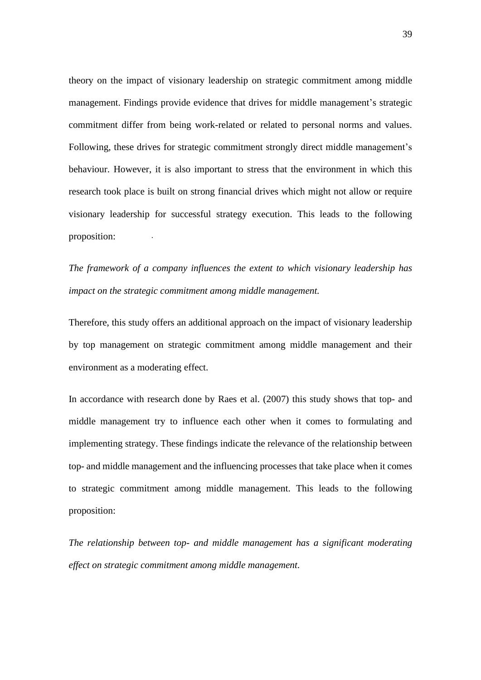theory on the impact of visionary leadership on strategic commitment among middle management. Findings provide evidence that drives for middle management's strategic commitment differ from being work-related or related to personal norms and values. Following, these drives for strategic commitment strongly direct middle management's behaviour. However, it is also important to stress that the environment in which this research took place is built on strong financial drives which might not allow or require visionary leadership for successful strategy execution. This leads to the following proposition:

*The framework of a company influences the extent to which visionary leadership has impact on the strategic commitment among middle management.*

Therefore, this study offers an additional approach on the impact of visionary leadership by top management on strategic commitment among middle management and their environment as a moderating effect.

In accordance with research done by Raes et al. (2007) this study shows that top- and middle management try to influence each other when it comes to formulating and implementing strategy. These findings indicate the relevance of the relationship between top- and middle management and the influencing processes that take place when it comes to strategic commitment among middle management. This leads to the following proposition:

*The relationship between top- and middle management has a significant moderating effect on strategic commitment among middle management.*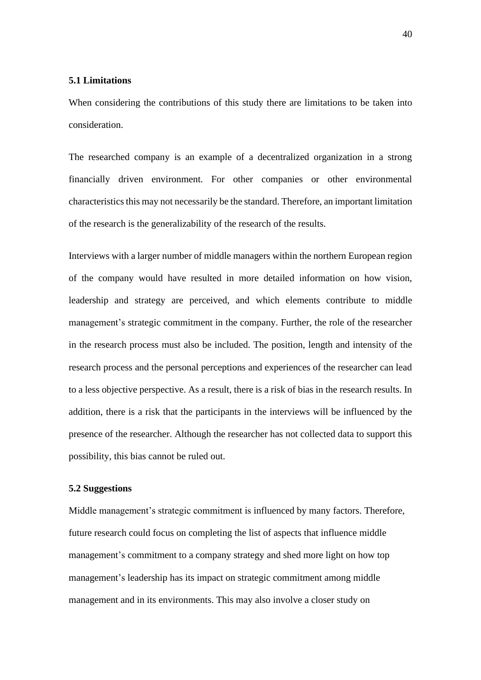### **5.1 Limitations**

When considering the contributions of this study there are limitations to be taken into consideration.

The researched company is an example of a decentralized organization in a strong financially driven environment. For other companies or other environmental characteristics this may not necessarily be the standard. Therefore, an important limitation of the research is the generalizability of the research of the results.

Interviews with a larger number of middle managers within the northern European region of the company would have resulted in more detailed information on how vision, leadership and strategy are perceived, and which elements contribute to middle management's strategic commitment in the company. Further, the role of the researcher in the research process must also be included. The position, length and intensity of the research process and the personal perceptions and experiences of the researcher can lead to a less objective perspective. As a result, there is a risk of bias in the research results. In addition, there is a risk that the participants in the interviews will be influenced by the presence of the researcher. Although the researcher has not collected data to support this possibility, this bias cannot be ruled out.

#### **5.2 Suggestions**

Middle management's strategic commitment is influenced by many factors. Therefore, future research could focus on completing the list of aspects that influence middle management's commitment to a company strategy and shed more light on how top management's leadership has its impact on strategic commitment among middle management and in its environments. This may also involve a closer study on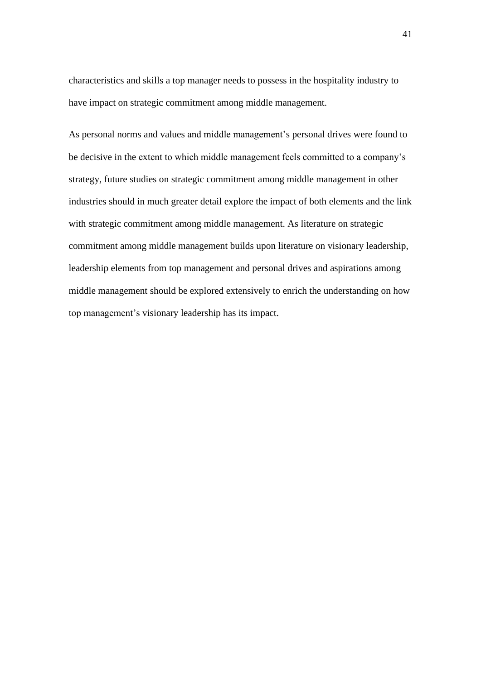characteristics and skills a top manager needs to possess in the hospitality industry to have impact on strategic commitment among middle management.

As personal norms and values and middle management's personal drives were found to be decisive in the extent to which middle management feels committed to a company's strategy, future studies on strategic commitment among middle management in other industries should in much greater detail explore the impact of both elements and the link with strategic commitment among middle management. As literature on strategic commitment among middle management builds upon literature on visionary leadership, leadership elements from top management and personal drives and aspirations among middle management should be explored extensively to enrich the understanding on how top management's visionary leadership has its impact.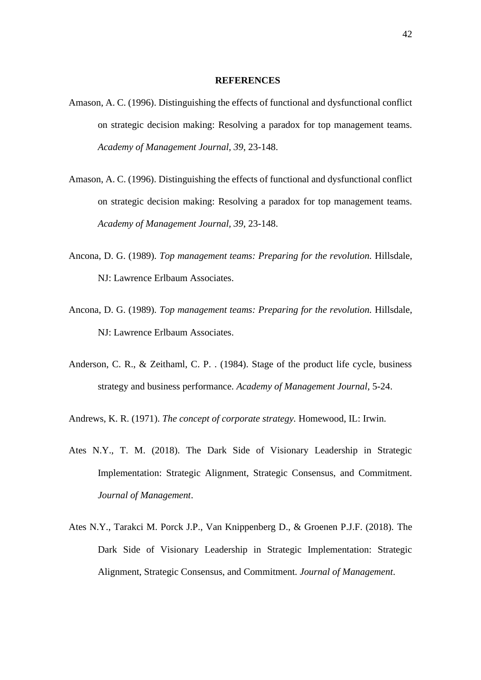#### **REFERENCES**

- Amason, A. C. (1996). Distinguishing the effects of functional and dysfunctional conflict on strategic decision making: Resolving a paradox for top management teams. *Academy of Management Journal, 39*, 23-148.
- Amason, A. C. (1996). Distinguishing the effects of functional and dysfunctional conflict on strategic decision making: Resolving a paradox for top management teams. *Academy of Management Journal, 39*, 23-148.
- Ancona, D. G. (1989). *Top management teams: Preparing for the revolution.* Hillsdale, NJ: Lawrence Erlbaum Associates.
- Ancona, D. G. (1989). *Top management teams: Preparing for the revolution.* Hillsdale, NJ: Lawrence Erlbaum Associates.
- Anderson, C. R., & Zeithaml, C. P. . (1984). Stage of the product life cycle, business strategy and business performance. *Academy of Management Journal*, 5-24.

Andrews, K. R. (1971). *The concept of corporate strategy.* Homewood, IL: Irwin.

- Ates N.Y., T. M. (2018). The Dark Side of Visionary Leadership in Strategic Implementation: Strategic Alignment, Strategic Consensus, and Commitment. *Journal of Management*.
- Ates N.Y., Tarakci M. Porck J.P., Van Knippenberg D., & Groenen P.J.F. (2018). The Dark Side of Visionary Leadership in Strategic Implementation: Strategic Alignment, Strategic Consensus, and Commitment. *Journal of Management*.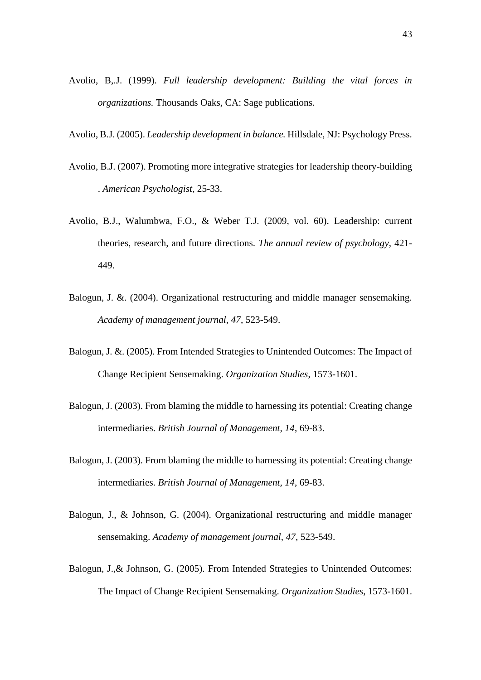- Avolio, B,.J. (1999). *Full leadership development: Building the vital forces in organizations.* Thousands Oaks, CA: Sage publications.
- Avolio, B.J. (2005). *Leadership development in balance.* Hillsdale, NJ: Psychology Press.
- Avolio, B.J. (2007). Promoting more integrative strategies for leadership theory-building . *American Psychologist*, 25-33.
- Avolio, B.J., Walumbwa, F.O., & Weber T.J. (2009, vol. 60). Leadership: current theories, research, and future directions. *The annual review of psychology*, 421- 449.
- Balogun, J. &. (2004). Organizational restructuring and middle manager sensemaking. *Academy of management journal, 47*, 523-549.
- Balogun, J. &. (2005). From Intended Strategies to Unintended Outcomes: The Impact of Change Recipient Sensemaking. *Organization Studies*, 1573-1601.
- Balogun, J. (2003). From blaming the middle to harnessing its potential: Creating change intermediaries. *British Journal of Management, 14*, 69-83.
- Balogun, J. (2003). From blaming the middle to harnessing its potential: Creating change intermediaries. *British Journal of Management, 14*, 69-83.
- Balogun, J., & Johnson, G. (2004). Organizational restructuring and middle manager sensemaking. *Academy of management journal, 47*, 523-549.
- Balogun, J.,& Johnson, G. (2005). From Intended Strategies to Unintended Outcomes: The Impact of Change Recipient Sensemaking. *Organization Studies*, 1573-1601.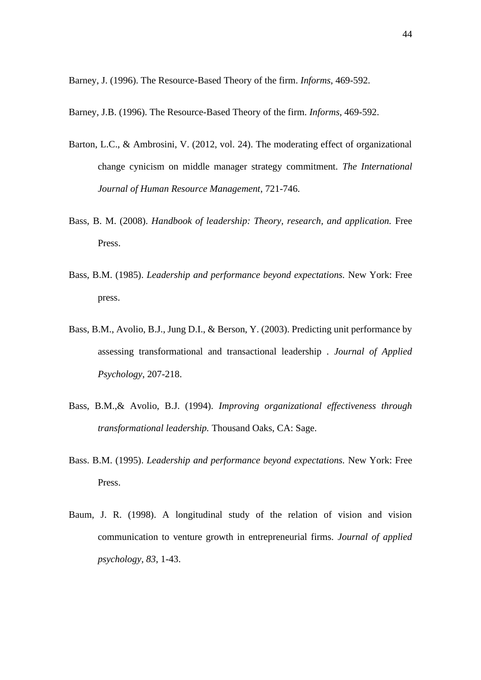Barney, J. (1996). The Resource-Based Theory of the firm. *Informs*, 469-592.

Barney, J.B. (1996). The Resource-Based Theory of the firm. *Informs*, 469-592.

- Barton, L.C., & Ambrosini, V. (2012, vol. 24). The moderating effect of organizational change cynicism on middle manager strategy commitment. *The International Journal of Human Resource Management*, 721-746.
- Bass, B. M. (2008). *Handbook of leadership: Theory, research, and application.* Free Press.
- Bass, B.M. (1985). *Leadership and performance beyond expectations.* New York: Free press.
- Bass, B.M., Avolio, B.J., Jung D.I., & Berson, Y. (2003). Predicting unit performance by assessing transformational and transactional leadership . *Journal of Applied Psychology*, 207-218.
- Bass, B.M.,& Avolio, B.J. (1994). *Improving organizational effectiveness through transformational leadership.* Thousand Oaks, CA: Sage.
- Bass. B.M. (1995). *Leadership and performance beyond expectations.* New York: Free Press.
- Baum, J. R. (1998). A longitudinal study of the relation of vision and vision communication to venture growth in entrepreneurial firms. *Journal of applied psychology, 83*, 1-43.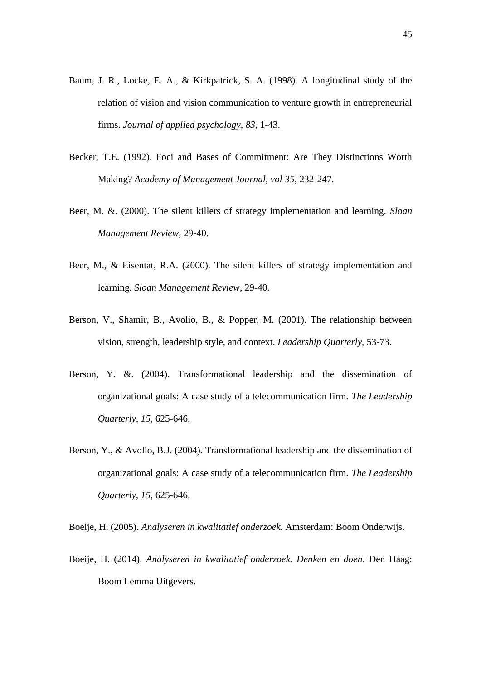- Baum, J. R., Locke, E. A., & Kirkpatrick, S. A. (1998). A longitudinal study of the relation of vision and vision communication to venture growth in entrepreneurial firms. *Journal of applied psychology, 83*, 1-43.
- Becker, T.E. (1992). Foci and Bases of Commitment: Are They Distinctions Worth Making? *Academy of Management Journal, vol 35*, 232-247.
- Beer, M. &. (2000). The silent killers of strategy implementation and learning. *Sloan Management Review*, 29-40.
- Beer, M., & Eisentat, R.A. (2000). The silent killers of strategy implementation and learning. *Sloan Management Review*, 29-40.
- Berson, V., Shamir, B., Avolio, B., & Popper, M. (2001). The relationship between vision, strength, leadership style, and context. *Leadership Quarterly*, 53-73.
- Berson, Y. &. (2004). Transformational leadership and the dissemination of organizational goals: A case study of a telecommunication firm. *The Leadership Quarterly, 15*, 625-646.
- Berson, Y., & Avolio, B.J. (2004). Transformational leadership and the dissemination of organizational goals: A case study of a telecommunication firm. *The Leadership Quarterly, 15*, 625-646.

Boeije, H. (2005). *Analyseren in kwalitatief onderzoek.* Amsterdam: Boom Onderwijs.

Boeije, H. (2014). *Analyseren in kwalitatief onderzoek. Denken en doen.* Den Haag: Boom Lemma Uitgevers.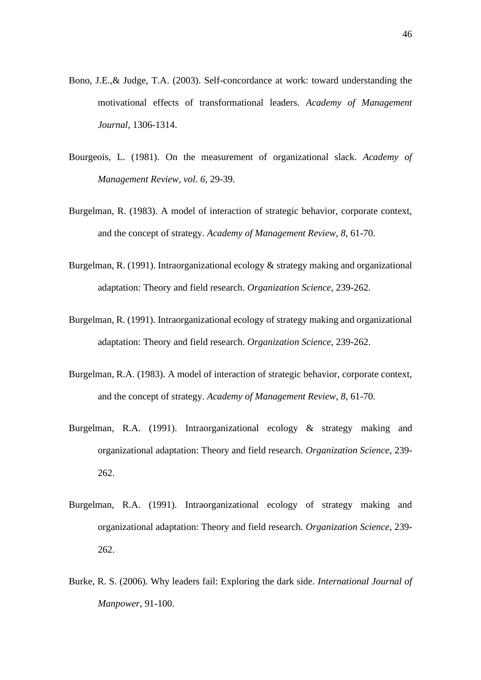- Bono, J.E.,& Judge, T.A. (2003). Self-concordance at work: toward understanding the motivational effects of transformational leaders. *Academy of Management Journal*, 1306-1314.
- Bourgeois, L. (1981). On the measurement of organizational slack. *Academy of Management Review, vol. 6*, 29-39.
- Burgelman, R. (1983). A model of interaction of strategic behavior, corporate context, and the concept of strategy. *Academy of Management Review, 8*, 61-70.
- Burgelman, R. (1991). Intraorganizational ecology & strategy making and organizational adaptation: Theory and field research. *Organization Science*, 239-262.
- Burgelman, R. (1991). Intraorganizational ecology of strategy making and organizational adaptation: Theory and field research. *Organization Science*, 239-262.
- Burgelman, R.A. (1983). A model of interaction of strategic behavior, corporate context, and the concept of strategy. *Academy of Management Review, 8*, 61-70.
- Burgelman, R.A. (1991). Intraorganizational ecology & strategy making and organizational adaptation: Theory and field research. *Organization Science*, 239- 262.
- Burgelman, R.A. (1991). Intraorganizational ecology of strategy making and organizational adaptation: Theory and field research. *Organization Science*, 239- 262.
- Burke, R. S. (2006). Why leaders fail: Exploring the dark side. *International Journal of Manpower*, 91-100.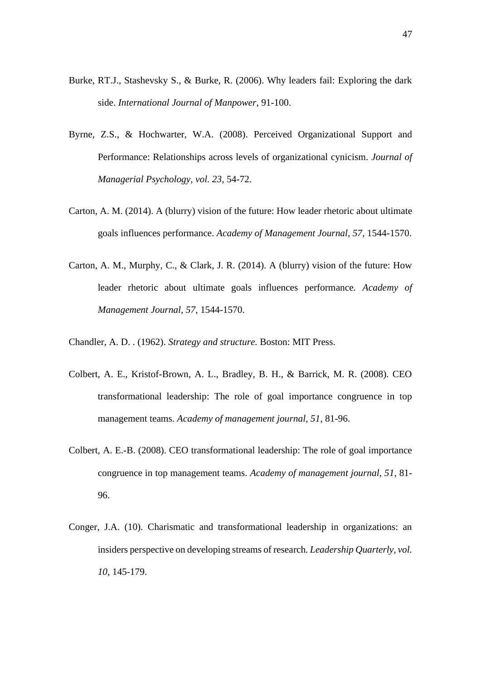- Burke, RT.J., Stashevsky S., & Burke, R. (2006). Why leaders fail: Exploring the dark side. *International Journal of Manpower*, 91-100.
- Byrne, Z.S., & Hochwarter, W.A. (2008). Perceived Organizational Support and Performance: Relationships across levels of organizational cynicism. *Journal of Managerial Psychology, vol. 23*, 54-72.
- Carton, A. M. (2014). A (blurry) vision of the future: How leader rhetoric about ultimate goals influences performance. *Academy of Management Journal, 57*, 1544-1570.
- Carton, A. M., Murphy, C., & Clark, J. R. (2014). A (blurry) vision of the future: How leader rhetoric about ultimate goals influences performance. *Academy of Management Journal, 57*, 1544-1570.
- Chandler, A. D. . (1962). *Strategy and structure.* Boston: MIT Press.
- Colbert, A. E., Kristof-Brown, A. L., Bradley, B. H., & Barrick, M. R. (2008). CEO transformational leadership: The role of goal importance congruence in top management teams. *Academy of management journal, 51*, 81-96.
- Colbert, A. E.-B. (2008). CEO transformational leadership: The role of goal importance congruence in top management teams. *Academy of management journal, 51*, 81- 96.
- Conger, J.A. (10). Charismatic and transformational leadership in organizations: an insiders perspective on developing streams of research. *Leadership Quarterly, vol. 10*, 145-179.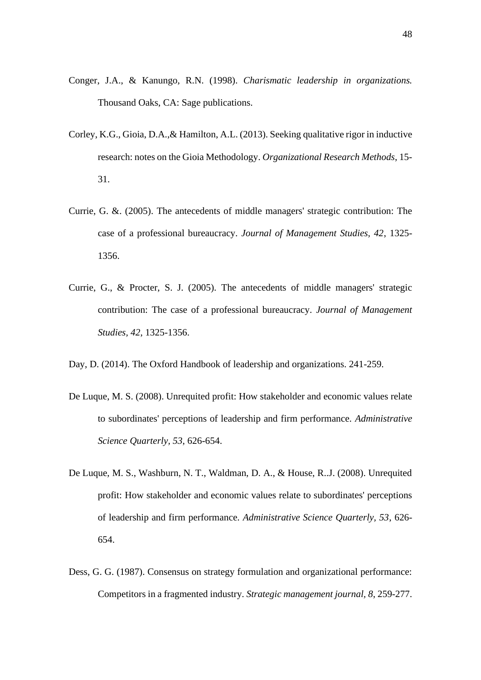- Conger, J.A., & Kanungo, R.N. (1998). *Charismatic leadership in organizations.* Thousand Oaks, CA: Sage publications.
- Corley, K.G., Gioia, D.A.,& Hamilton, A.L. (2013). Seeking qualitative rigor in inductive research: notes on the Gioia Methodology. *Organizational Research Methods*, 15- 31.
- Currie, G. &. (2005). The antecedents of middle managers' strategic contribution: The case of a professional bureaucracy. *Journal of Management Studies, 42*, 1325- 1356.
- Currie, G., & Procter, S. J. (2005). The antecedents of middle managers' strategic contribution: The case of a professional bureaucracy. *Journal of Management Studies, 42*, 1325-1356.
- Day, D. (2014). The Oxford Handbook of leadership and organizations. 241-259.
- De Luque, M. S. (2008). Unrequited profit: How stakeholder and economic values relate to subordinates' perceptions of leadership and firm performance. *Administrative Science Quarterly, 53*, 626-654.
- De Luque, M. S., Washburn, N. T., Waldman, D. A., & House, R..J. (2008). Unrequited profit: How stakeholder and economic values relate to subordinates' perceptions of leadership and firm performance. *Administrative Science Quarterly, 53*, 626- 654.
- Dess, G. G. (1987). Consensus on strategy formulation and organizational performance: Competitors in a fragmented industry. *Strategic management journal, 8*, 259-277.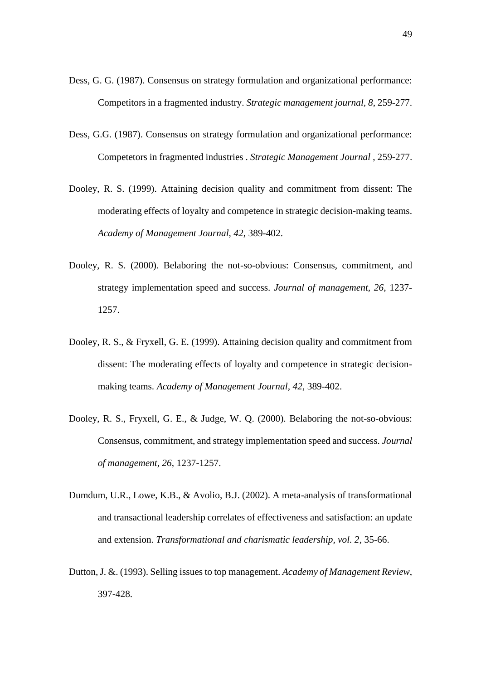- Dess, G. G. (1987). Consensus on strategy formulation and organizational performance: Competitors in a fragmented industry. *Strategic management journal, 8*, 259-277.
- Dess, G.G. (1987). Consensus on strategy formulation and organizational performance: Competetors in fragmented industries . *Strategic Management Journal* , 259-277.
- Dooley, R. S. (1999). Attaining decision quality and commitment from dissent: The moderating effects of loyalty and competence in strategic decision-making teams. *Academy of Management Journal, 42*, 389-402.
- Dooley, R. S. (2000). Belaboring the not-so-obvious: Consensus, commitment, and strategy implementation speed and success. *Journal of management, 26*, 1237- 1257.
- Dooley, R. S., & Fryxell, G. E. (1999). Attaining decision quality and commitment from dissent: The moderating effects of loyalty and competence in strategic decisionmaking teams. *Academy of Management Journal, 42*, 389-402.
- Dooley, R. S., Fryxell, G. E., & Judge, W. Q. (2000). Belaboring the not-so-obvious: Consensus, commitment, and strategy implementation speed and success. *Journal of management, 26*, 1237-1257.
- Dumdum, U.R., Lowe, K.B., & Avolio, B.J. (2002). A meta-analysis of transformational and transactional leadership correlates of effectiveness and satisfaction: an update and extension. *Transformational and charismatic leadership, vol. 2*, 35-66.
- Dutton, J. &. (1993). Selling issues to top management. *Academy of Management Review*, 397-428.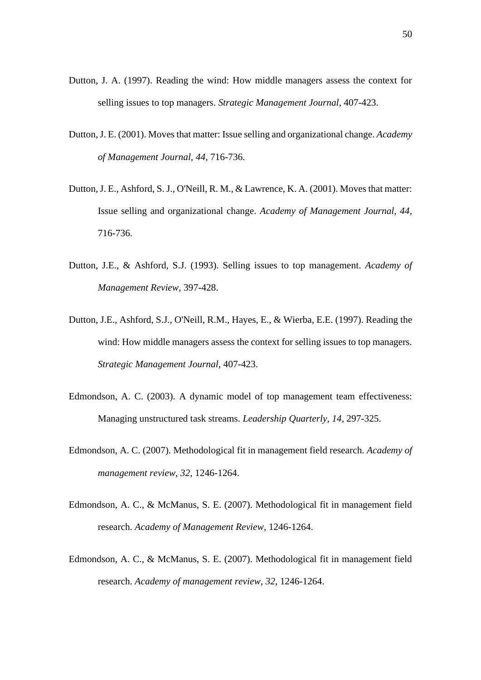- Dutton, J. A. (1997). Reading the wind: How middle managers assess the context for selling issues to top managers. *Strategic Management Journal*, 407-423.
- Dutton, J. E. (2001). Moves that matter: Issue selling and organizational change. *Academy of Management Journal, 44*, 716-736.
- Dutton, J. E., Ashford, S. J., O'Neill, R. M., & Lawrence, K. A. (2001). Moves that matter: Issue selling and organizational change. *Academy of Management Journal, 44*, 716-736.
- Dutton, J.E., & Ashford, S.J. (1993). Selling issues to top management. *Academy of Management Review*, 397-428.
- Dutton, J.E., Ashford, S.J., O'Neill, R.M., Hayes, E., & Wierba, E.E. (1997). Reading the wind: How middle managers assess the context for selling issues to top managers. *Strategic Management Journal*, 407-423.
- Edmondson, A. C. (2003). A dynamic model of top management team effectiveness: Managing unstructured task streams. *Leadership Quarterly, 14*, 297-325.
- Edmondson, A. C. (2007). Methodological fit in management field research. *Academy of management review, 32*, 1246-1264.
- Edmondson, A. C., & McManus, S. E. (2007). Methodological fit in management field research. *Academy of Management Review*, 1246-1264.
- Edmondson, A. C., & McManus, S. E. (2007). Methodological fit in management field research. *Academy of management review, 32*, 1246-1264.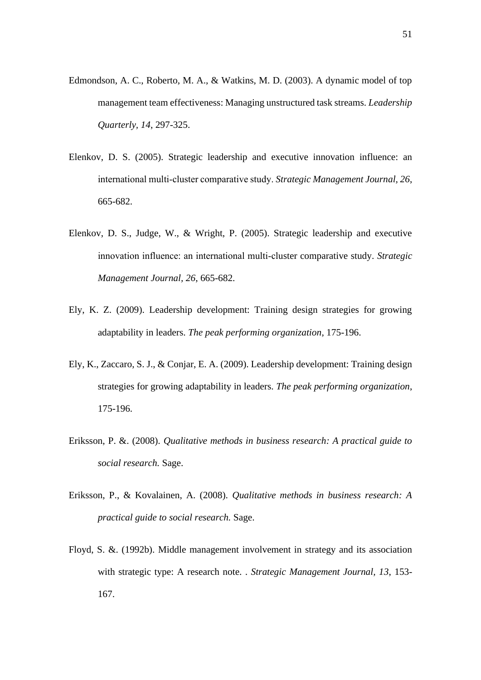- Edmondson, A. C., Roberto, M. A., & Watkins, M. D. (2003). A dynamic model of top management team effectiveness: Managing unstructured task streams. *Leadership Quarterly, 14*, 297-325.
- Elenkov, D. S. (2005). Strategic leadership and executive innovation influence: an international multi‐cluster comparative study. *Strategic Management Journal, 26*, 665-682.
- Elenkov, D. S., Judge, W., & Wright, P. (2005). Strategic leadership and executive innovation influence: an international multi‐cluster comparative study. *Strategic Management Journal, 26*, 665-682.
- Ely, K. Z. (2009). Leadership development: Training design strategies for growing adaptability in leaders. *The peak performing organization*, 175-196.
- Ely, K., Zaccaro, S. J., & Conjar, E. A. (2009). Leadership development: Training design strategies for growing adaptability in leaders. *The peak performing organization*, 175-196.
- Eriksson, P. &. (2008). *Qualitative methods in business research: A practical guide to social research.* Sage.
- Eriksson, P., & Kovalainen, A. (2008). *Qualitative methods in business research: A practical guide to social research.* Sage.
- Floyd, S. &. (1992b). Middle management involvement in strategy and its association with strategic type: A research note. . *Strategic Management Journal, 13*, 153- 167.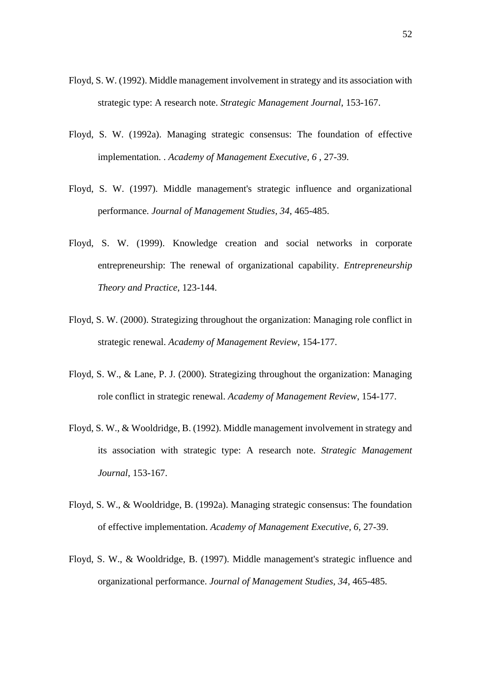- Floyd, S. W. (1992). Middle management involvement in strategy and its association with strategic type: A research note. *Strategic Management Journal*, 153-167.
- Floyd, S. W. (1992a). Managing strategic consensus: The foundation of effective implementation. . *Academy of Management Executive, 6* , 27-39.
- Floyd, S. W. (1997). Middle management's strategic influence and organizational performance. *Journal of Management Studies, 34*, 465-485.
- Floyd, S. W. (1999). Knowledge creation and social networks in corporate entrepreneurship: The renewal of organizational capability. *Entrepreneurship Theory and Practice*, 123-144.
- Floyd, S. W. (2000). Strategizing throughout the organization: Managing role conflict in strategic renewal. *Academy of Management Review*, 154-177.
- Floyd, S. W., & Lane, P. J. (2000). Strategizing throughout the organization: Managing role conflict in strategic renewal. *Academy of Management Review*, 154-177.
- Floyd, S. W., & Wooldridge, B. (1992). Middle management involvement in strategy and its association with strategic type: A research note. *Strategic Management Journal*, 153-167.
- Floyd, S. W., & Wooldridge, B. (1992a). Managing strategic consensus: The foundation of effective implementation. *Academy of Management Executive, 6*, 27-39.
- Floyd, S. W., & Wooldridge, B. (1997). Middle management's strategic influence and organizational performance. *Journal of Management Studies, 34*, 465-485.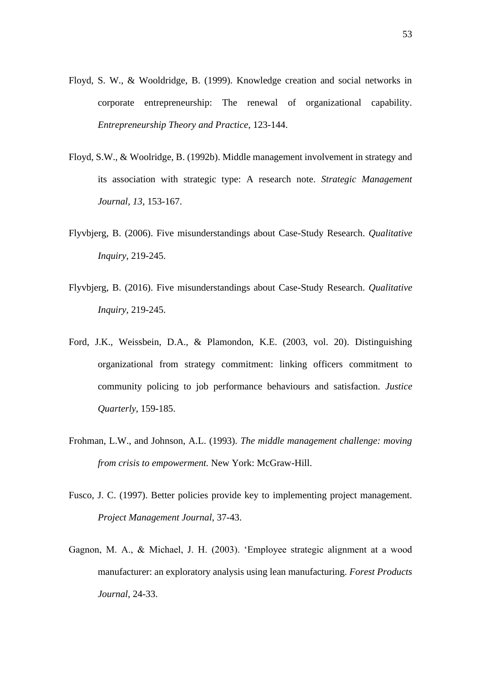- Floyd, S. W., & Wooldridge, B. (1999). Knowledge creation and social networks in corporate entrepreneurship: The renewal of organizational capability. *Entrepreneurship Theory and Practice*, 123-144.
- Floyd, S.W., & Woolridge, B. (1992b). Middle management involvement in strategy and its association with strategic type: A research note. *Strategic Management Journal, 13*, 153-167.
- Flyvbjerg, B. (2006). Five misunderstandings about Case-Study Research. *Qualitative Inquiry*, 219-245.
- Flyvbjerg, B. (2016). Five misunderstandings about Case-Study Research. *Qualitative Inquiry*, 219-245.
- Ford, J.K., Weissbein, D.A., & Plamondon, K.E. (2003, vol. 20). Distinguishing organizational from strategy commitment: linking officers commitment to community policing to job performance behaviours and satisfaction. *Justice Quarterly*, 159-185.
- Frohman, L.W., and Johnson, A.L. (1993). *The middle management challenge: moving from crisis to empowerment.* New York: McGraw-Hill.
- Fusco, J. C. (1997). Better policies provide key to implementing project management. *Project Management Journal*, 37-43.
- Gagnon, M. A., & Michael, J. H. (2003). 'Employee strategic alignment at a wood manufacturer: an exploratory analysis using lean manufacturing. *Forest Products Journal*, 24-33.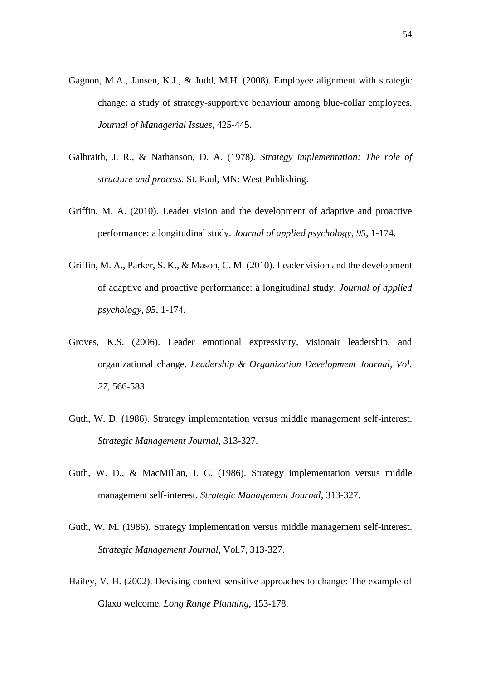- Gagnon, M.A., Jansen, K.J., & Judd, M.H. (2008). Employee alignment with strategic change: a study of strategy-supportive behaviour among blue-collar employees. *Journal of Managerial Issues*, 425-445.
- Galbraith, J. R., & Nathanson, D. A. (1978). *Strategy implementation: The role of structure and process.* St. Paul, MN: West Publishing.
- Griffin, M. A. (2010). Leader vision and the development of adaptive and proactive performance: a longitudinal study. *Journal of applied psychology, 95*, 1-174.
- Griffin, M. A., Parker, S. K., & Mason, C. M. (2010). Leader vision and the development of adaptive and proactive performance: a longitudinal study. *Journal of applied psychology, 95*, 1-174.
- Groves, K.S. (2006). Leader emotional expressivity, visionair leadership, and organizational change. *Leadership & Organization Development Journal, Vol. 27*, 566-583.
- Guth, W. D. (1986). Strategy implementation versus middle management self-interest. *Strategic Management Journal*, 313-327.
- Guth, W. D., & MacMillan, I. C. (1986). Strategy implementation versus middle management self-interest. *Strategic Management Journal*, 313-327.
- Guth, W. M. (1986). Strategy implementation versus middle management self-interest. *Strategic Management Journal*, Vol.7, 313-327.
- Hailey, V. H. (2002). Devising context sensitive approaches to change: The example of Glaxo welcome. *Long Range Planning*, 153-178.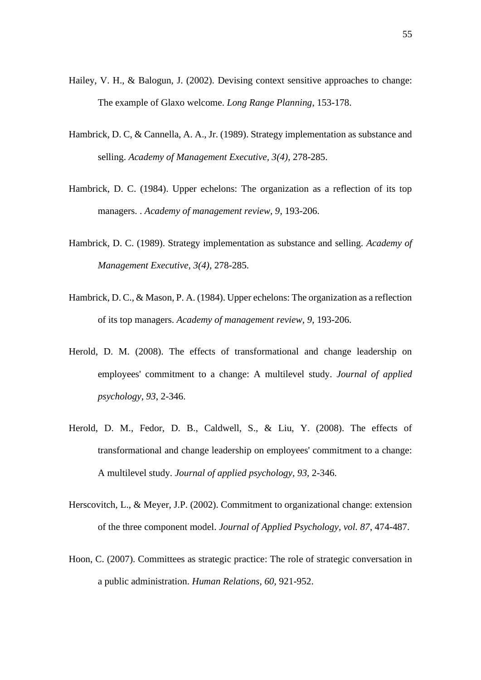- Hailey, V. H., & Balogun, J. (2002). Devising context sensitive approaches to change: The example of Glaxo welcome. *Long Range Planning*, 153-178.
- Hambrick, D. C, & Cannella, A. A., Jr. (1989). Strategy implementation as substance and selling. *Academy of Management Executive, 3(4)*, 278-285.
- Hambrick, D. C. (1984). Upper echelons: The organization as a reflection of its top managers. . *Academy of management review, 9*, 193-206.
- Hambrick, D. C. (1989). Strategy implementation as substance and selling. *Academy of Management Executive, 3(4)*, 278-285.
- Hambrick, D. C., & Mason, P. A. (1984). Upper echelons: The organization as a reflection of its top managers. *Academy of management review, 9*, 193-206.
- Herold, D. M. (2008). The effects of transformational and change leadership on employees' commitment to a change: A multilevel study. *Journal of applied psychology, 93*, 2-346.
- Herold, D. M., Fedor, D. B., Caldwell, S., & Liu, Y. (2008). The effects of transformational and change leadership on employees' commitment to a change: A multilevel study. *Journal of applied psychology, 93*, 2-346.
- Herscovitch, L., & Meyer, J.P. (2002). Commitment to organizational change: extension of the three component model. *Journal of Applied Psychology, vol. 87*, 474-487.
- Hoon, C. (2007). Committees as strategic practice: The role of strategic conversation in a public administration. *Human Relations, 60*, 921-952.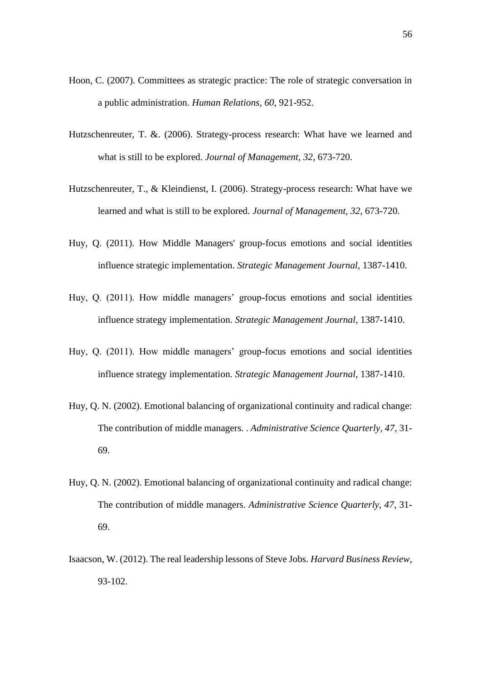- Hoon, C. (2007). Committees as strategic practice: The role of strategic conversation in a public administration. *Human Relations, 60*, 921-952.
- Hutzschenreuter, T. &. (2006). Strategy-process research: What have we learned and what is still to be explored. *Journal of Management, 32*, 673-720.
- Hutzschenreuter, T., & Kleindienst, I. (2006). Strategy-process research: What have we learned and what is still to be explored. *Journal of Management, 32*, 673-720.
- Huy, Q. (2011). How Middle Managers' group-focus emotions and social identities influence strategic implementation. *Strategic Management Journal*, 1387-1410.
- Huy, Q. (2011). How middle managers' group-focus emotions and social identities influence strategy implementation. *Strategic Management Journal*, 1387-1410.
- Huy, Q. (2011). How middle managers' group-focus emotions and social identities influence strategy implementation. *Strategic Management Journal*, 1387-1410.
- Huy, Q. N. (2002). Emotional balancing of organizational continuity and radical change: The contribution of middle managers. . *Administrative Science Quarterly, 47*, 31- 69.
- Huy, Q. N. (2002). Emotional balancing of organizational continuity and radical change: The contribution of middle managers. *Administrative Science Quarterly, 47*, 31- 69.
- Isaacson, W. (2012). The real leadership lessons of Steve Jobs. *Harvard Business Review*, 93-102.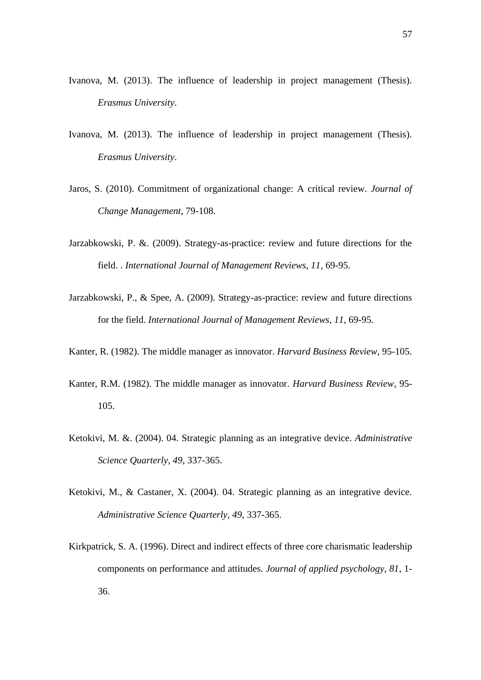- Ivanova, M. (2013). The influence of leadership in project management (Thesis). *Erasmus University*.
- Ivanova, M. (2013). The influence of leadership in project management (Thesis). *Erasmus University*.
- Jaros, S. (2010). Commitment of organizational change: A critical review. *Journal of Change Management*, 79-108.
- Jarzabkowski, P. &. (2009). Strategy-as-practice: review and future directions for the field. . *International Journal of Management Reviews, 11*, 69-95.
- Jarzabkowski, P., & Spee, A. (2009). Strategy-as-practice: review and future directions for the field. *International Journal of Management Reviews, 11*, 69-95.
- Kanter, R. (1982). The middle manager as innovator. *Harvard Business Review*, 95-105.
- Kanter, R.M. (1982). The middle manager as innovator. *Harvard Business Review*, 95- 105.
- Ketokivi, M. &. (2004). 04. Strategic planning as an integrative device. *Administrative Science Quarterly, 49*, 337-365.
- Ketokivi, M., & Castaner, X. (2004). 04. Strategic planning as an integrative device. *Administrative Science Quarterly, 49*, 337-365.
- Kirkpatrick, S. A. (1996). Direct and indirect effects of three core charismatic leadership components on performance and attitudes. *Journal of applied psychology, 81*, 1- 36.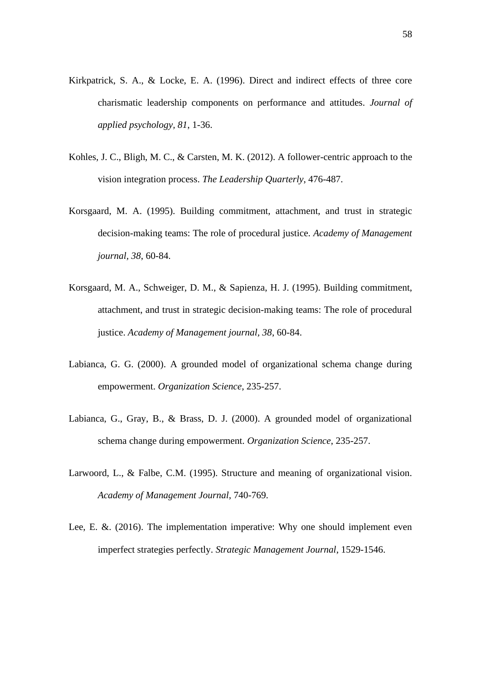- Kirkpatrick, S. A., & Locke, E. A. (1996). Direct and indirect effects of three core charismatic leadership components on performance and attitudes. *Journal of applied psychology, 81*, 1-36.
- Kohles, J. C., Bligh, M. C., & Carsten, M. K. (2012). A follower-centric approach to the vision integration process. *The Leadership Quarterly*, 476-487.
- Korsgaard, M. A. (1995). Building commitment, attachment, and trust in strategic decision-making teams: The role of procedural justice. *Academy of Management journal, 38*, 60-84.
- Korsgaard, M. A., Schweiger, D. M., & Sapienza, H. J. (1995). Building commitment, attachment, and trust in strategic decision-making teams: The role of procedural justice. *Academy of Management journal, 38*, 60-84.
- Labianca, G. G. (2000). A grounded model of organizational schema change during empowerment. *Organization Science*, 235-257.
- Labianca, G., Gray, B., & Brass, D. J. (2000). A grounded model of organizational schema change during empowerment. *Organization Science*, 235-257.
- Larwoord, L., & Falbe, C.M. (1995). Structure and meaning of organizational vision. *Academy of Management Journal*, 740-769.
- Lee, E. &. (2016). The implementation imperative: Why one should implement even imperfect strategies perfectly. *Strategic Management Journal*, 1529-1546.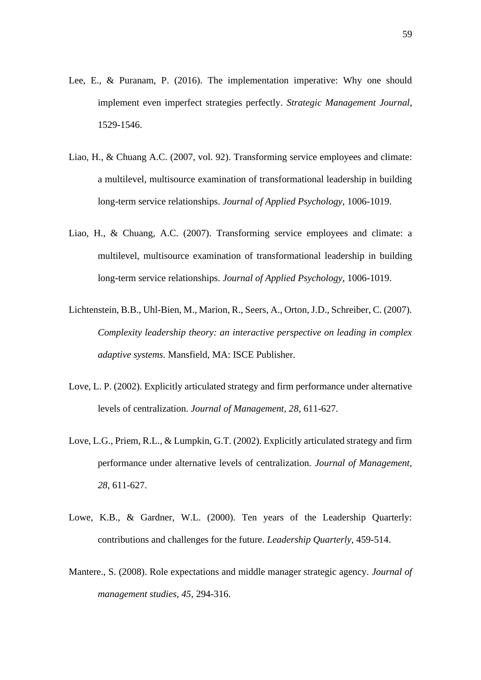- Lee, E., & Puranam, P. (2016). The implementation imperative: Why one should implement even imperfect strategies perfectly. *Strategic Management Journal*, 1529-1546.
- Liao, H., & Chuang A.C. (2007, vol. 92). Transforming service employees and climate: a multilevel, multisource examination of transformational leadership in building long-term service relationships. *Journal of Applied Psychology*, 1006-1019.
- Liao, H., & Chuang, A.C. (2007). Transforming service employees and climate: a multilevel, multisource examination of transformational leadership in building long-term service relationships. *Journal of Applied Psychology*, 1006-1019.
- Lichtenstein, B.B., Uhl-Bien, M., Marion, R., Seers, A., Orton, J.D., Schreiber, C. (2007). *Complexity leadership theory: an interactive perspective on leading in complex adaptive systems.* Mansfield, MA: ISCE Publisher.
- Love, L. P. (2002). Explicitly articulated strategy and firm performance under alternative levels of centralization. *Journal of Management, 28*, 611-627.
- Love, L.G., Priem, R.L., & Lumpkin, G.T. (2002). Explicitly articulated strategy and firm performance under alternative levels of centralization. *Journal of Management, 28*, 611-627.
- Lowe, K.B., & Gardner, W.L. (2000). Ten years of the Leadership Quarterly: contributions and challenges for the future. *Leadership Quarterly*, 459-514.
- Mantere., S. (2008). Role expectations and middle manager strategic agency. *Journal of management studies, 45*, 294-316.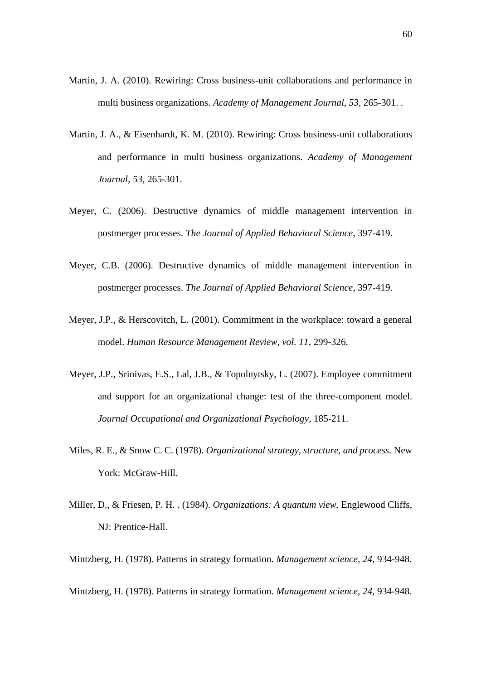- Martin, J. A. (2010). Rewiring: Cross business-unit collaborations and performance in multi business organizations. *Academy of Management Journal, 53*, 265-301. .
- Martin, J. A., & Eisenhardt, K. M. (2010). Rewiring: Cross business-unit collaborations and performance in multi business organizations. *Academy of Management Journal, 53*, 265-301.
- Meyer, C. (2006). Destructive dynamics of middle management intervention in postmerger processes. *The Journal of Applied Behavioral Science*, 397-419.
- Meyer, C.B. (2006). Destructive dynamics of middle management intervention in postmerger processes. *The Journal of Applied Behavioral Science*, 397-419.
- Meyer, J.P., & Herscovitch, L. (2001). Commitment in the workplace: toward a general model. *Human Resource Management Review, vol. 11*, 299-326.
- Meyer, J.P., Srinivas, E.S., Lal, J.B., & Topolnytsky, L. (2007). Employee commitment and support for an organizational change: test of the three-component model. *Journal Occupational and Organizational Psychology*, 185-211.
- Miles, R. E., & Snow C. C. (1978). *Organizational strategy, structure, and process.* New York: McGraw-Hill.
- Miller, D., & Friesen, P. H. . (1984). *Organizations: A quantum view.* Englewood Cliffs, NJ: Prentice-Hall.
- Mintzberg, H. (1978). Patterns in strategy formation. *Management science, 24*, 934-948.

Mintzberg, H. (1978). Patterns in strategy formation. *Management science, 24*, 934-948.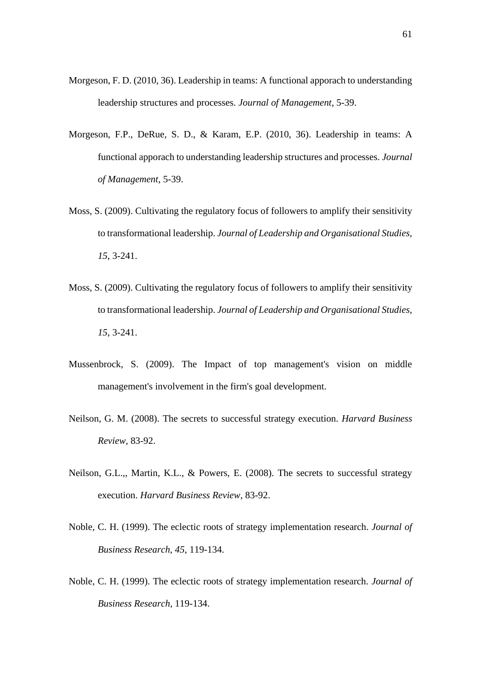- Morgeson, F. D. (2010, 36). Leadership in teams: A functional apporach to understanding leadership structures and processes. *Journal of Management*, 5-39.
- Morgeson, F.P., DeRue, S. D., & Karam, E.P. (2010, 36). Leadership in teams: A functional apporach to understanding leadership structures and processes. *Journal of Management*, 5-39.
- Moss, S. (2009). Cultivating the regulatory focus of followers to amplify their sensitivity to transformational leadership. *Journal of Leadership and Organisational Studies, 15*, 3-241.
- Moss, S. (2009). Cultivating the regulatory focus of followers to amplify their sensitivity to transformational leadership. *Journal of Leadership and Organisational Studies, 15*, 3-241.
- Mussenbrock, S. (2009). The Impact of top management's vision on middle management's involvement in the firm's goal development.
- Neilson, G. M. (2008). The secrets to successful strategy execution. *Harvard Business Review*, 83-92.
- Neilson, G.L.,, Martin, K.L., & Powers, E. (2008). The secrets to successful strategy execution. *Harvard Business Review*, 83-92.
- Noble, C. H. (1999). The eclectic roots of strategy implementation research. *Journal of Business Research, 45*, 119-134.
- Noble, C. H. (1999). The eclectic roots of strategy implementation research. *Journal of Business Research*, 119-134.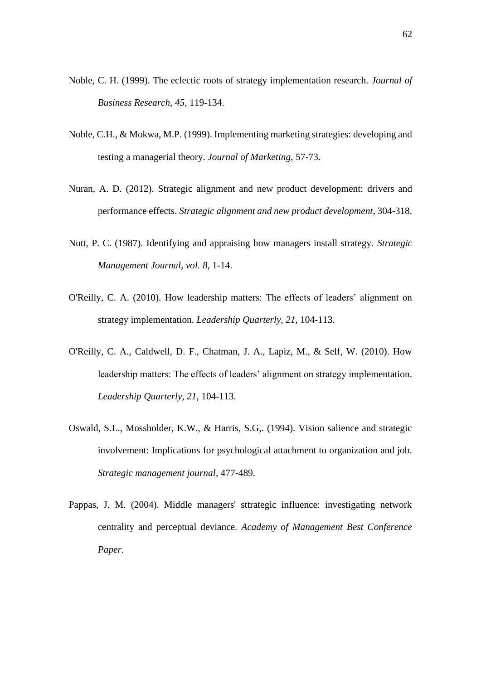- Noble, C. H. (1999). The eclectic roots of strategy implementation research. *Journal of Business Research, 45*, 119-134.
- Noble, C.H., & Mokwa, M.P. (1999). Implementing marketing strategies: developing and testing a managerial theory. *Journal of Marketing*, 57-73.
- Nuran, A. D. (2012). Strategic alignment and new product development: drivers and performance effects. *Strategic alignment and new product development*, 304-318.
- Nutt, P. C. (1987). Identifying and appraising how managers install strategy. *Strategic Management Journal, vol. 8*, 1-14.
- O'Reilly, C. A. (2010). How leadership matters: The effects of leaders' alignment on strategy implementation. *Leadership Quarterly, 21*, 104-113.
- O'Reilly, C. A., Caldwell, D. F., Chatman, J. A., Lapiz, M., & Self, W. (2010). How leadership matters: The effects of leaders' alignment on strategy implementation. *Leadership Quarterly, 21*, 104-113.
- Oswald, S.L., Mossholder, K.W., & Harris, S.G,. (1994). Vision salience and strategic involvement: Implications for psychological attachment to organization and job. *Strategic management journal*, 477-489.
- Pappas, J. M. (2004). Middle managers' sttrategic influence: investigating network centrality and perceptual deviance. *Academy of Management Best Conference Paper*.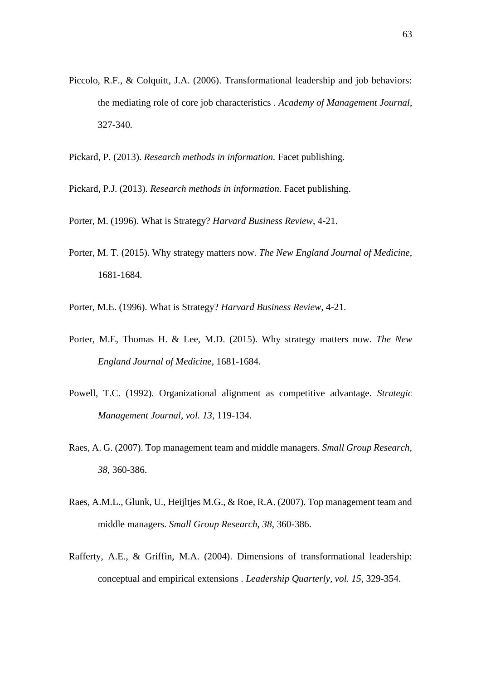- Piccolo, R.F., & Colquitt, J.A. (2006). Transformational leadership and job behaviors: the mediating role of core job characteristics . *Academy of Management Journal*, 327-340.
- Pickard, P. (2013). *Research methods in information.* Facet publishing.
- Pickard, P.J. (2013). *Research methods in information.* Facet publishing.
- Porter, M. (1996). What is Strategy? *Harvard Business Review*, 4-21.
- Porter, M. T. (2015). Why strategy matters now. *The New England Journal of Medicine*, 1681-1684.
- Porter, M.E. (1996). What is Strategy? *Harvard Business Review*, 4-21.
- Porter, M.E, Thomas H. & Lee, M.D. (2015). Why strategy matters now. *The New England Journal of Medicine*, 1681-1684.
- Powell, T.C. (1992). Organizational alignment as competitive advantage. *Strategic Management Journal, vol. 13*, 119-134.
- Raes, A. G. (2007). Top management team and middle managers. *Small Group Research, 38*, 360-386.
- Raes, A.M.L., Glunk, U., Heijltjes M.G., & Roe, R.A. (2007). Top management team and middle managers. *Small Group Research, 38*, 360-386.
- Rafferty, A.E., & Griffin, M.A. (2004). Dimensions of transformational leadership: conceptual and empirical extensions . *Leadership Quarterly, vol. 15*, 329-354.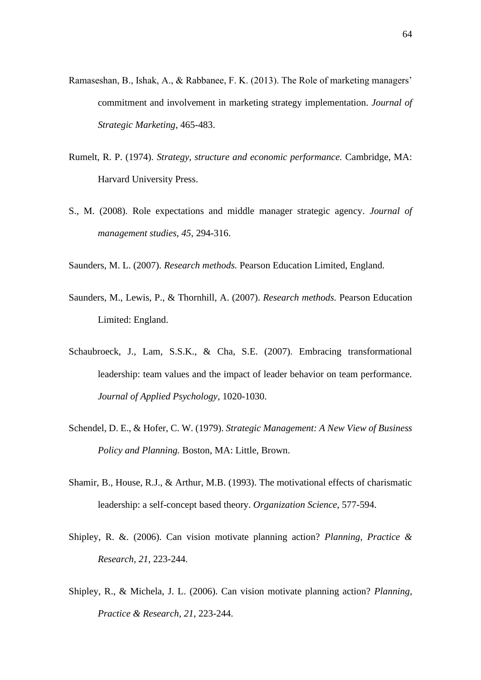- Ramaseshan, B., Ishak, A., & Rabbanee, F. K. (2013). The Role of marketing managers' commitment and involvement in marketing strategy implementation. *Journal of Strategic Marketing*, 465-483.
- Rumelt, R. P. (1974). *Strategy, structure and economic performance.* Cambridge, MA: Harvard University Press.
- S., M. (2008). Role expectations and middle manager strategic agency. *Journal of management studies, 45*, 294-316.

Saunders, M. L. (2007). *Research methods.* Pearson Education Limited, England.

- Saunders, M., Lewis, P., & Thornhill, A. (2007). *Research methods.* Pearson Education Limited: England.
- Schaubroeck, J., Lam, S.S.K., & Cha, S.E. (2007). Embracing transformational leadership: team values and the impact of leader behavior on team performance. *Journal of Applied Psychology*, 1020-1030.
- Schendel, D. E., & Hofer, C. W. (1979). *Strategic Management: A New View of Business Policy and Planning.* Boston, MA: Little, Brown.
- Shamir, B., House, R.J., & Arthur, M.B. (1993). The motivational effects of charismatic leadership: a self-concept based theory. *Organization Science*, 577-594.
- Shipley, R. &. (2006). Can vision motivate planning action? *Planning, Practice & Research, 21*, 223-244.
- Shipley, R., & Michela, J. L. (2006). Can vision motivate planning action? *Planning, Practice & Research, 21*, 223-244.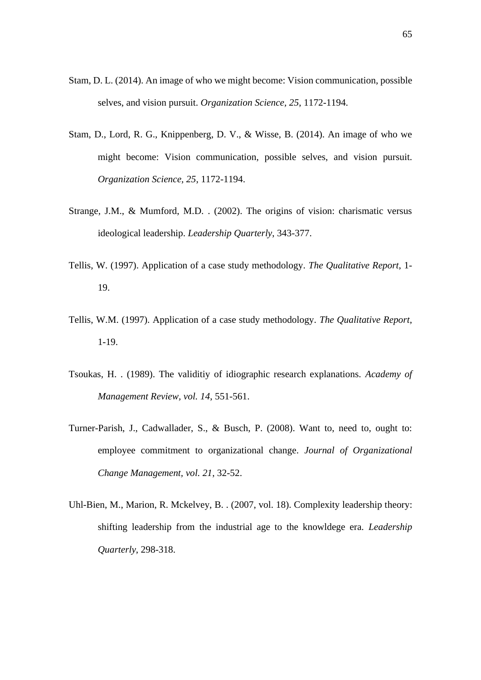- Stam, D. L. (2014). An image of who we might become: Vision communication, possible selves, and vision pursuit. *Organization Science, 25*, 1172-1194.
- Stam, D., Lord, R. G., Knippenberg, D. V., & Wisse, B. (2014). An image of who we might become: Vision communication, possible selves, and vision pursuit. *Organization Science, 25*, 1172-1194.
- Strange, J.M., & Mumford, M.D. . (2002). The origins of vision: charismatic versus ideological leadership. *Leadership Quarterly*, 343-377.
- Tellis, W. (1997). Application of a case study methodology. *The Qualitative Report*, 1- 19.
- Tellis, W.M. (1997). Application of a case study methodology. *The Qualitative Report*, 1-19.
- Tsoukas, H. . (1989). The validitiy of idiographic research explanations. *Academy of Management Review, vol. 14*, 551-561.
- Turner-Parish, J., Cadwallader, S., & Busch, P. (2008). Want to, need to, ought to: employee commitment to organizational change. *Journal of Organizational Change Management, vol. 21*, 32-52.
- Uhl-Bien, M., Marion, R. Mckelvey, B. . (2007, vol. 18). Complexity leadership theory: shifting leadership from the industrial age to the knowldege era. *Leadership Quarterly*, 298-318.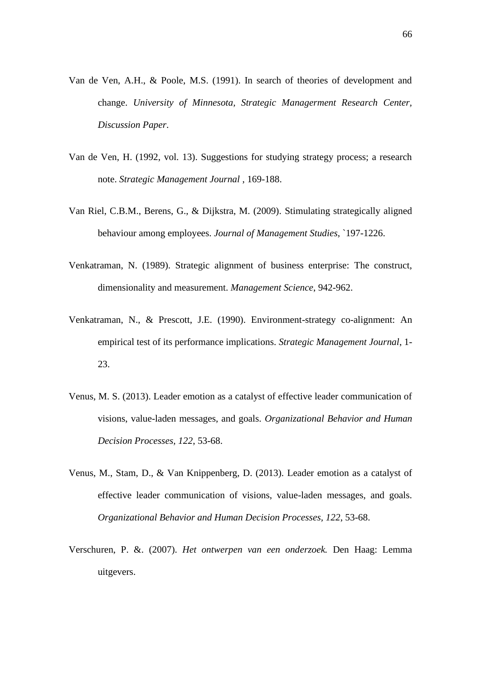- Van de Ven, A.H., & Poole, M.S. (1991). In search of theories of development and change. *University of Minnesota, Strategic Managerment Research Center, Discussion Paper*.
- Van de Ven, H. (1992, vol. 13). Suggestions for studying strategy process; a research note. *Strategic Management Journal* , 169-188.
- Van Riel, C.B.M., Berens, G., & Dijkstra, M. (2009). Stimulating strategically aligned behaviour among employees. *Journal of Management Studies*, `197-1226.
- Venkatraman, N. (1989). Strategic alignment of business enterprise: The construct, dimensionality and measurement. *Management Science*, 942-962.
- Venkatraman, N., & Prescott, J.E. (1990). Environment-strategy co-alignment: An empirical test of its performance implications. *Strategic Management Journal*, 1- 23.
- Venus, M. S. (2013). Leader emotion as a catalyst of effective leader communication of visions, value-laden messages, and goals. *Organizational Behavior and Human Decision Processes, 122*, 53-68.
- Venus, M., Stam, D., & Van Knippenberg, D. (2013). Leader emotion as a catalyst of effective leader communication of visions, value-laden messages, and goals. *Organizational Behavior and Human Decision Processes, 122*, 53-68.
- Verschuren, P. &. (2007). *Het ontwerpen van een onderzoek.* Den Haag: Lemma uitgevers.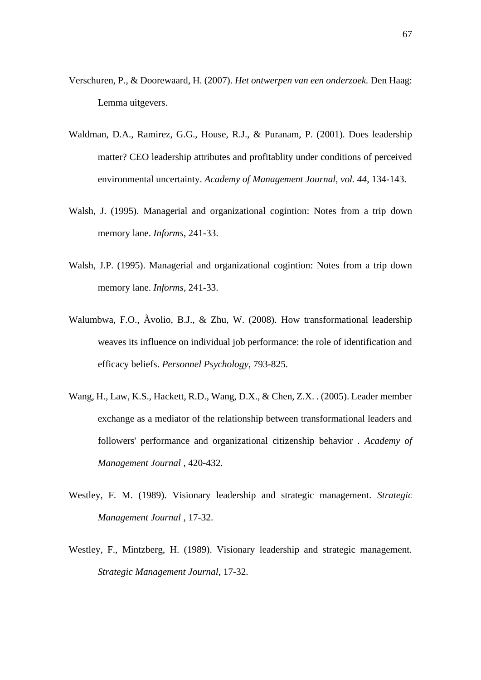- Verschuren, P., & Doorewaard, H. (2007). *Het ontwerpen van een onderzoek.* Den Haag: Lemma uitgevers.
- Waldman, D.A., Ramirez, G.G., House, R.J., & Puranam, P. (2001). Does leadership matter? CEO leadership attributes and profitablity under conditions of perceived environmental uncertainty. *Academy of Management Journal, vol. 44*, 134-143.
- Walsh, J. (1995). Managerial and organizational cogintion: Notes from a trip down memory lane. *Informs*, 241-33.
- Walsh, J.P. (1995). Managerial and organizational cogintion: Notes from a trip down memory lane. *Informs*, 241-33.
- Walumbwa, F.O., Àvolio, B.J., & Zhu, W. (2008). How transformational leadership weaves its influence on individual job performance: the role of identification and efficacy beliefs. *Personnel Psychology*, 793-825.
- Wang, H., Law, K.S., Hackett, R.D., Wang, D.X., & Chen, Z.X. . (2005). Leader member exchange as a mediator of the relationship between transformational leaders and followers' performance and organizational citizenship behavior . *Academy of Management Journal* , 420-432.
- Westley, F. M. (1989). Visionary leadership and strategic management. *Strategic Management Journal* , 17-32.
- Westley, F., Mintzberg, H. (1989). Visionary leadership and strategic management. *Strategic Management Journal*, 17-32.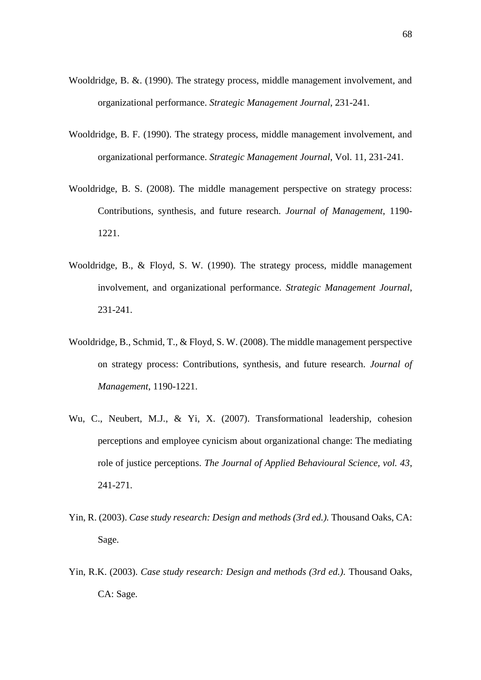- Wooldridge, B. &. (1990). The strategy process, middle management involvement, and organizational performance. *Strategic Management Journal*, 231-241.
- Wooldridge, B. F. (1990). The strategy process, middle management involvement, and organizational performance. *Strategic Management Journal*, Vol. 11, 231-241.
- Wooldridge, B. S. (2008). The middle management perspective on strategy process: Contributions, synthesis, and future research. *Journal of Management*, 1190- 1221.
- Wooldridge, B., & Floyd, S. W. (1990). The strategy process, middle management involvement, and organizational performance. *Strategic Management Journal*, 231-241.
- Wooldridge, B., Schmid, T., & Floyd, S. W. (2008). The middle management perspective on strategy process: Contributions, synthesis, and future research. *Journal of Management*, 1190-1221.
- Wu, C., Neubert, M.J., & Yi, X. (2007). Transformational leadership, cohesion perceptions and employee cynicism about organizational change: The mediating role of justice perceptions. *The Journal of Applied Behavioural Science, vol. 43*, 241-271.
- Yin, R. (2003). *Case study research: Design and methods (3rd ed.).* Thousand Oaks, CA: Sage.
- Yin, R.K. (2003). *Case study research: Design and methods (3rd ed.).* Thousand Oaks, CA: Sage.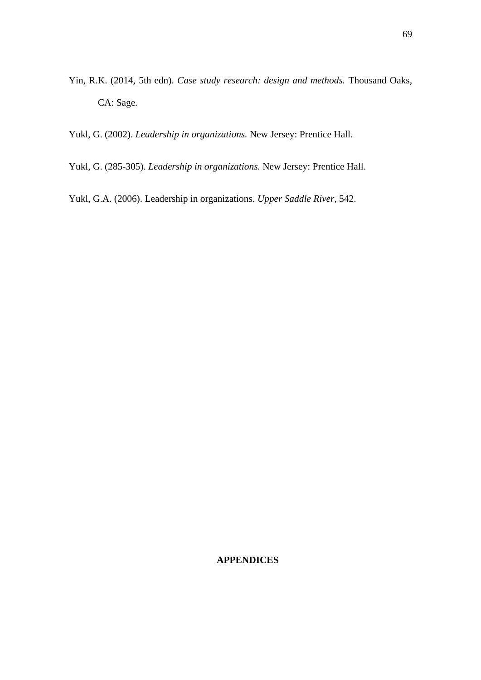Yin, R.K. (2014, 5th edn). *Case study research: design and methods.* Thousand Oaks, CA: Sage.

Yukl, G. (2002). *Leadership in organizations.* New Jersey: Prentice Hall.

Yukl, G. (285-305). *Leadership in organizations.* New Jersey: Prentice Hall.

Yukl, G.A. (2006). Leadership in organizations. *Upper Saddle River*, 542.

### **APPENDICES**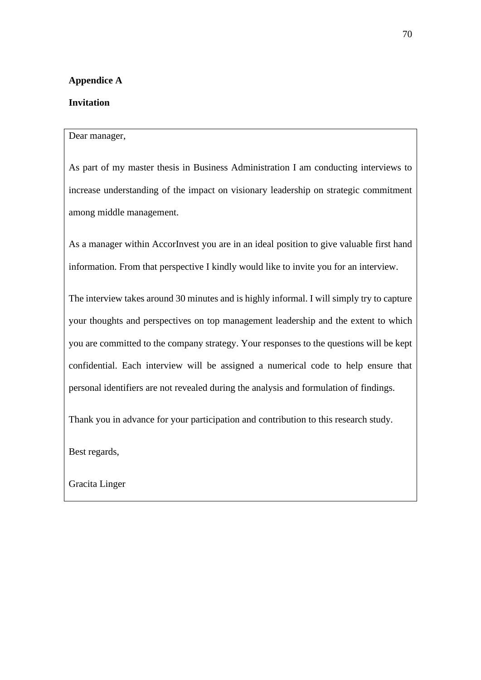## **Appendice A**

## **Invitation**

### Dear manager,

As part of my master thesis in Business Administration I am conducting interviews to increase understanding of the impact on visionary leadership on strategic commitment among middle management.

As a manager within AccorInvest you are in an ideal position to give valuable first hand information. From that perspective I kindly would like to invite you for an interview.

The interview takes around 30 minutes and is highly informal. I will simply try to capture your thoughts and perspectives on top management leadership and the extent to which you are committed to the company strategy. Your responses to the questions will be kept confidential. Each interview will be assigned a numerical code to help ensure that personal identifiers are not revealed during the analysis and formulation of findings.

Thank you in advance for your participation and contribution to this research study.

Best regards,

Gracita Linger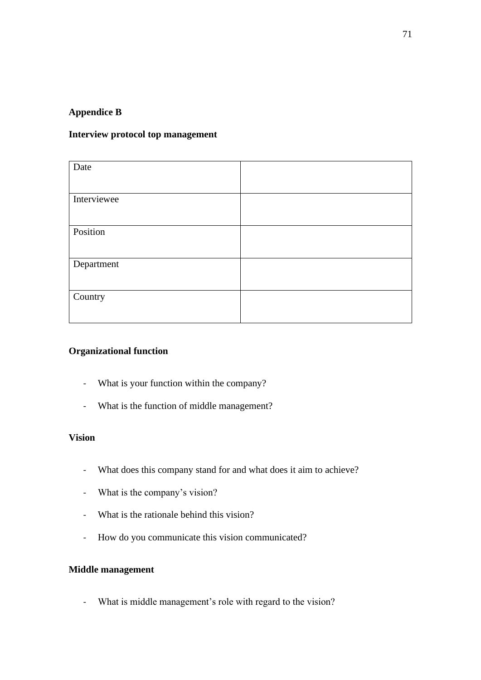# **Appendice B**

## **Interview protocol top management**

| Date        |  |
|-------------|--|
|             |  |
| Interviewee |  |
|             |  |
| Position    |  |
|             |  |
| Department  |  |
|             |  |
| Country     |  |
|             |  |

# **Organizational function**

- What is your function within the company?
- What is the function of middle management?

## **Vision**

- What does this company stand for and what does it aim to achieve?
- What is the company's vision?
- What is the rationale behind this vision?
- How do you communicate this vision communicated?

## **Middle management**

- What is middle management's role with regard to the vision?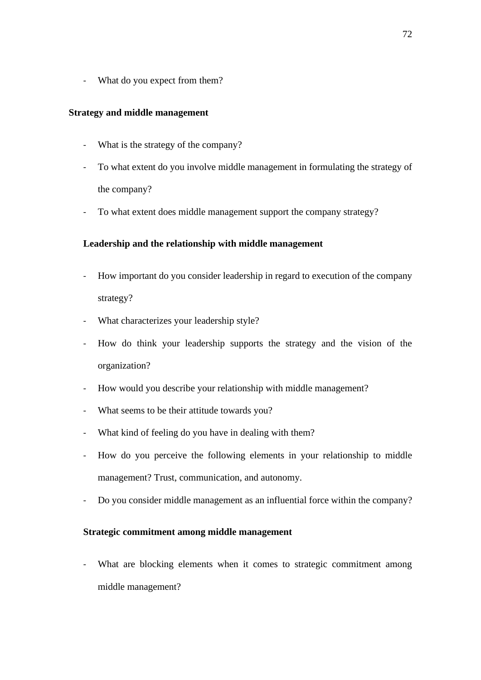What do you expect from them?

## **Strategy and middle management**

- What is the strategy of the company?
- To what extent do you involve middle management in formulating the strategy of the company?
- To what extent does middle management support the company strategy?

### **Leadership and the relationship with middle management**

- How important do you consider leadership in regard to execution of the company strategy?
- What characterizes your leadership style?
- How do think your leadership supports the strategy and the vision of the organization?
- How would you describe your relationship with middle management?
- What seems to be their attitude towards you?
- What kind of feeling do you have in dealing with them?
- How do you perceive the following elements in your relationship to middle management? Trust, communication, and autonomy.
- Do you consider middle management as an influential force within the company?

### **Strategic commitment among middle management**

What are blocking elements when it comes to strategic commitment among middle management?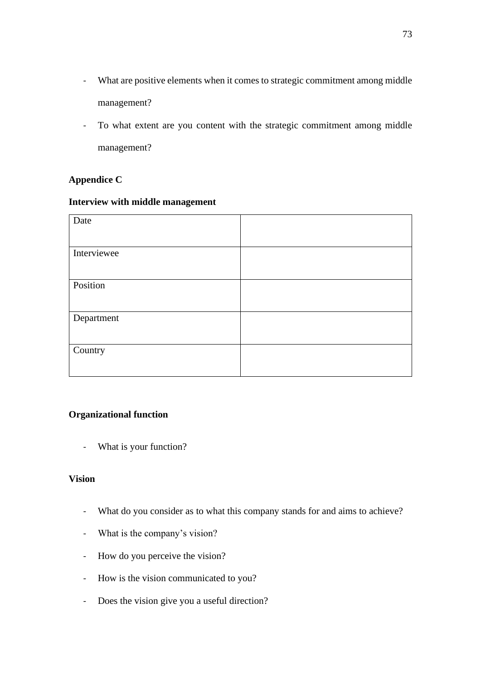- What are positive elements when it comes to strategic commitment among middle management?
- To what extent are you content with the strategic commitment among middle management?

# **Appendice C**

## **Interview with middle management**

| Date        |  |
|-------------|--|
| Interviewee |  |
| Position    |  |
|             |  |
| Department  |  |
| Country     |  |

# **Organizational function**

- What is your function?

# **Vision**

- What do you consider as to what this company stands for and aims to achieve?
- What is the company's vision?
- How do you perceive the vision?
- How is the vision communicated to you?
- Does the vision give you a useful direction?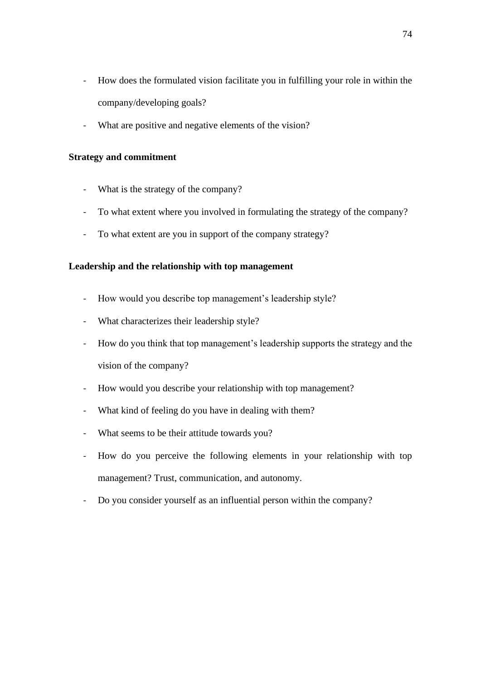- How does the formulated vision facilitate you in fulfilling your role in within the company/developing goals?
- What are positive and negative elements of the vision?

### **Strategy and commitment**

- What is the strategy of the company?
- To what extent where you involved in formulating the strategy of the company?
- To what extent are you in support of the company strategy?

## **Leadership and the relationship with top management**

- How would you describe top management's leadership style?
- What characterizes their leadership style?
- How do you think that top management's leadership supports the strategy and the vision of the company?
- How would you describe your relationship with top management?
- What kind of feeling do you have in dealing with them?
- What seems to be their attitude towards you?
- How do you perceive the following elements in your relationship with top management? Trust, communication, and autonomy.
- Do you consider yourself as an influential person within the company?